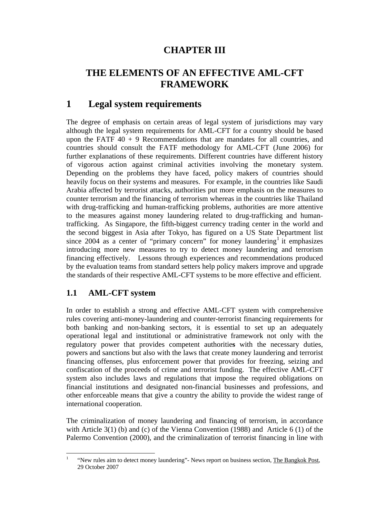# **CHAPTER III**

# **THE ELEMENTS OF AN EFFECTIVE AML-CFT FRAMEWORK**

# **1 Legal system requirements**

The degree of emphasis on certain areas of legal system of jurisdictions may vary although the legal system requirements for AML-CFT for a country should be based upon the FATF  $40 + 9$  Recommendations that are mandates for all countries, and countries should consult the FATF methodology for AML-CFT (June 2006) for further explanations of these requirements. Different countries have different history of vigorous action against criminal activities involving the monetary system. Depending on the problems they have faced, policy makers of countries should heavily focus on their systems and measures. For example, in the countries like Saudi Arabia affected by terrorist attacks, authorities put more emphasis on the measures to counter terrorism and the financing of terrorism whereas in the countries like Thailand with drug-trafficking and human-trafficking problems, authorities are more attentive to the measures against money laundering related to drug-trafficking and humantrafficking. As Singapore, the fifth-biggest currency trading center in the world and the second biggest in Asia after Tokyo, has figured on a US State Department list since  $2004$  as a center of "primary concern" for money laundering<sup>1</sup> it emphasizes introducing more new measures to try to detect money laundering and terrorism financing effectively. Lessons through experiences and recommendations produced by the evaluation teams from standard setters help policy makers improve and upgrade the standards of their respective AML-CFT systems to be more effective and efficient.

# **1.1 AML-CFT system**

 $\frac{1}{1}$ 

In order to establish a strong and effective AML-CFT system with comprehensive rules covering anti-money-laundering and counter-terrorist financing requirements for both banking and non-banking sectors, it is essential to set up an adequately operational legal and institutional or administrative framework not only with the regulatory power that provides competent authoritie**s** with the necessary duties, powers and sanctions but also with the laws that create money laundering and terrorist financing offenses, plus enforcement power that provides for freezing, seizing and confiscation of the proceeds of crime and terrorist funding. The effective AML-CFT system also includes laws and regulations that impose the required obligations on financial institutions and designated non-financial businesses and professions, and other enforceable means that give a country the ability to provide the widest range of international cooperation.

The criminalization of money laundering and financing of terrorism, in accordance with Article 3(1) (b) and (c) of the Vienna Convention (1988) and Article 6 (1) of the Palermo Convention (2000), and the criminalization of terrorist financing in line with

 <sup>&</sup>quot;New rules aim to detect money laundering"- News report on business section, The Bangkok Post, 29 October 2007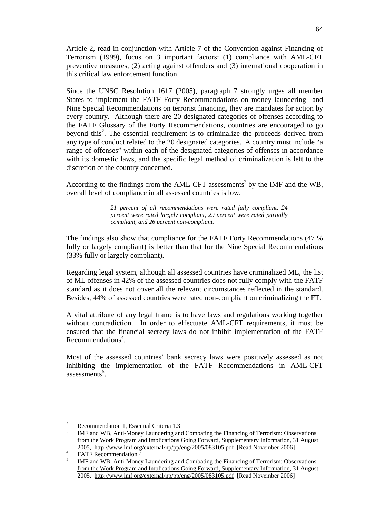Article 2, read in conjunction with Article 7 of the Convention against Financing of Terrorism (1999), focus on 3 important factors: (1) compliance with AML-CFT preventive measures, (2) acting against offenders and (3) international cooperation in this critical law enforcement function.

Since the UNSC Resolution 1617 (2005), paragraph 7 strongly urges all member States to implement the FATF Forty Recommendations on money laundering and Nine Special Recommendations on terrorist financing, they are mandates for action by every country. Although there are 20 designated categories of offenses according to the FATF Glossary of the Forty Recommendations, countries are encouraged to go beyond this<sup>2</sup>. The essential requirement is to criminalize the proceeds derived from any type of conduct related to the 20 designated categories. A country must include "a range of offenses" within each of the designated categories of offenses in accordance with its domestic laws, and the specific legal method of criminalization is left to the discretion of the country concerned.

According to the findings from the AML-CFT assessments<sup>3</sup> by the IMF and the WB, overall level of compliance in all assessed countries is low.

> *21 percent of all recommendations were rated fully compliant, 24 percent were rated largely compliant, 29 percent were rated partially compliant, and 26 percent non-compliant.*

The findings also show that compliance for the FATF Forty Recommendations (47 % fully or largely compliant) is better than that for the Nine Special Recommendations (33% fully or largely compliant).

Regarding legal system, although all assessed countries have criminalized ML, the list of ML offenses in 42% of the assessed countries does not fully comply with the FATF standard as it does not cover all the relevant circumstances reflected in the standard. Besides, 44% of assessed countries were rated non-compliant on criminalizing the FT.

A vital attribute of any legal frame is to have laws and regulations working together without contradiction. In order to effectuate AML-CFT requirements, it must be ensured that the financial secrecy laws do not inhibit implementation of the FATF Recommendations<sup>4</sup>.

Most of the assessed countries' bank secrecy laws were positively assessed as not inhibiting the implementation of the FATF Recommendations in AML-CFT assessments<sup>5</sup>.

 $\frac{1}{2}$ Recommendation 1, Essential Criteria 1.3

<sup>3</sup> IMF and WB, Anti-Money Laundering and Combating the Financing of Terrorism: Observations from the Work Program and Implications Going Forward, Supplementary Information*,* 31 August 2005, http://www.imf.org/external/np/pp/eng/2005/083105.pdf [Read November 2006]<sup>4</sup>

FATF Recommendation 4

<sup>5</sup> IMF and WB, Anti-Money Laundering and Combating the Financing of Terrorism: Observations from the Work Program and Implications Going Forward, Supplementary Information*,* 31 August 2005, http://www.imf.org/external/np/pp/eng/2005/083105.pdf [Read November 2006]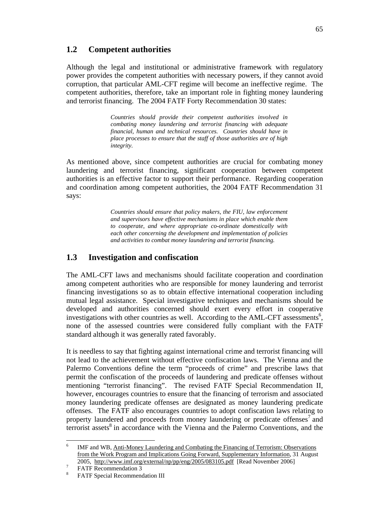### **1.2 Competent authorities**

Although the legal and institutional or administrative framework with regulatory power provides the competent authorities with necessary powers, if they cannot avoid corruption, that particular AML-CFT regime will become an ineffective regime. The competent authorities, therefore, take an important role in fighting money laundering and terrorist financing. The 2004 FATF Forty Recommendation 30 states:

> *Countries should provide their competent authorities involved in combating money laundering and terrorist financing with adequate financial, human and technical resources. Countries should have in place processes to ensure that the staff of those authorities are of high integrity.*

As mentioned above, since competent authorities are crucial for combating money laundering and terrorist financing, significant cooperation between competent authorities is an effective factor to support their performance. Regarding cooperation and coordination among competent authorities, the 2004 FATF Recommendation 31 says:

> *Countries should ensure that policy makers, the FIU, law enforcement and supervisors have effective mechanisms in place which enable them to cooperate, and where appropriate co-ordinate domestically with each other concerning the development and implementation of policies and activities to combat money laundering and terrorist financing.*

# **1.3 Investigation and confiscation**

The AML-CFT laws and mechanisms should facilitate cooperation and coordination among competent authorities who are responsible for money laundering and terrorist financing investigations so as to obtain effective international cooperation including mutual legal assistance. Special investigative techniques and mechanisms should be developed and authorities concerned should exert every effort in cooperative investigations with other countries as well. According to the AML-CFT assessments<sup>6</sup>, none of the assessed countries were considered fully compliant with the FATF standard although it was generally rated favorably.

It is needless to say that fighting against international crime and terrorist financing will not lead to the achievement without effective confiscation laws. The Vienna and the Palermo Conventions define the term "proceeds of crime" and prescribe laws that permit the confiscation of the proceeds of laundering and predicate offenses without mentioning "terrorist financing". The revised FATF Special Recommendation II, however, encourages countries to ensure that the financing of terrorism and associated money laundering predicate offenses are designated as money laundering predicate offenses. The FATF also encourages countries to adopt confiscation laws relating to property laundered and proceeds from money laundering or predicate offenses<sup>7</sup> and terrorist assets<sup>8</sup> in accordance with the Vienna and the Palermo Conventions, and the

<u>.</u>

<sup>6</sup> IMF and WB, Anti-Money Laundering and Combating the Financing of Terrorism: Observations from the Work Program and Implications Going Forward, Supplementary Information*,* 31 August 2005, http://www.imf.org/external/np/pp/eng/2005/083105.pdf [Read November 2006]

FATF Recommendation 3

<sup>8</sup> FATF Special Recommendation III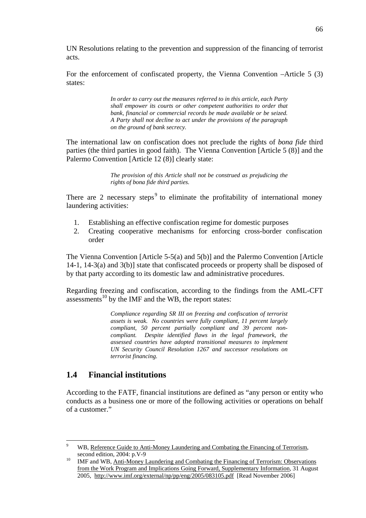UN Resolutions relating to the prevention and suppression of the financing of terrorist acts.

For the enforcement of confiscated property, the Vienna Convention –Article 5 (3) states:

> *In order to carry out the measures referred to in this article, each Party shall empower its courts or other competent authorities to order that bank, financial or commercial records be made available or be seized. A Party shall not decline to act under the provisions of the paragraph on the ground of bank secrecy.*

The international law on confiscation does not preclude the rights of *bona fide* third parties (the third parties in good faith). The Vienna Convention [Article 5 (8)] and the Palermo Convention [Article 12 (8)] clearly state:

> *The provision of this Article shall not be construed as prejudicing the rights of bona fide third parties.*

There are 2 necessary steps<sup>9</sup> to eliminate the profitability of international money laundering activities:

- 1. Establishing an effective confiscation regime for domestic purposes
- 2. Creating cooperative mechanisms for enforcing cross-border confiscation order

The Vienna Convention [Article 5-5(a) and 5(b)] and the Palermo Convention [Article 14-1, 14-3(a) and 3(b)] state that confiscated proceeds or property shall be disposed of by that party according to its domestic law and administrative procedures.

Regarding freezing and confiscation, according to the findings from the AML-CFT assessments $^{10}$  by the IMF and the WB, the report states:

> *Compliance regarding SR III on freezing and confiscation of terrorist assets is weak. No countries were fully compliant, 11 percent largely compliant, 50 percent partially compliant and 39 percent noncompliant. Despite identified flaws in the legal framework, the assessed countries have adopted transitional measures to implement UN Security Council Resolution 1267 and successor resolutions on terrorist financing.*

### **1.4 Financial institutions**

<u>.</u>

According to the FATF, financial institutions are defined as "any person or entity who conducts as a business one or more of the following activities or operations on behalf of a customer."

<sup>9</sup> WB, Reference Guide to Anti-Money Laundering and Combating the Financing of Terrorism, second edition, 2004: p.V-9<br>IMF and WB, Anti-Money Laundering and Combating the Financing of Terrorism: Observations

from the Work Program and Implications Going Forward, Supplementary Information*,* 31 August 2005, http://www.imf.org/external/np/pp/eng/2005/083105.pdf [Read November 2006]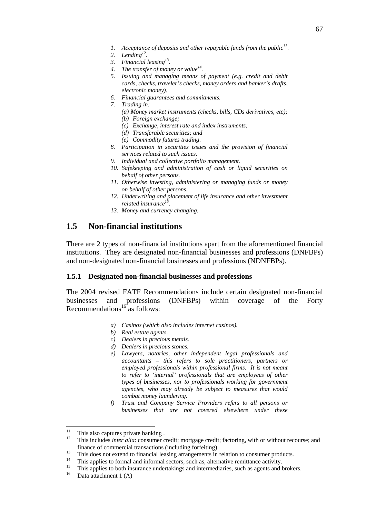- *1.* Acceptance of deposits and other repayable funds from the public<sup>11</sup>.
- 2. Lending<sup>12</sup>.
- *3. Financial leasing13.*
- 4. The transfer of money or value<sup>14</sup>.
- *5. Issuing and managing means of payment (e.g. credit and debit cards, checks, traveler's checks, money orders and banker's drafts, electronic money).*
- *6. Financial guarantees and commitments.*
- *7. Trading in:* 
	- *(a) Money market instruments (checks, bills, CDs derivatives, etc);*
	- *(b) Foreign exchange;*
	- *(c) Exchange, interest rate and index instruments;*
	- *(d) Transferable securities; and*
	- *(e) Commodity futures trading*.
- *8. Participation in securities issues and the provision of financial services related to such issues.*
- *9. Individual and collective portfolio management.*
- *10. Safekeeping and administration of cash or liquid securities on behalf of other persons.*
- *11. Otherwise investing, administering or managing funds or money on behalf of other persons.*
- *12. Underwriting and placement of life insurance and other investment related insurance15.*
- *13. Money and currency changing.*

## **1.5 Non-financial institutions**

There are 2 types of non-financial institutions apart from the aforementioned financial institutions. They are designated non-financial businesses and professions (DNFBPs) and non-designated non-financial businesses and professions (NDNFBPs).

#### **1.5.1 Designated non-financial businesses and professions**

The 2004 revised FATF Recommendations include certain designated non-financial businesses and professions (DNFBPs) within coverage of the Forty Recommendations $16$ <sup>t</sup> as follows:

- *a) Casinos (which also includes internet casinos).*
- *b) Real estate agents.*
- *c) Dealers in precious metals.*
- *d) Dealers in precious stones.*
- *e) Lawyers, notaries, other independent legal professionals and accountants – this refers to sole practitioners, partners or employed professionals within professional firms. It is not meant to refer to 'internal' professionals that are employees of other types of businesses, nor to professionals working for government agencies, who may already be subject to measures that would combat money laundering.*
- *f) Trust and Company Service Providers refers to all persons or businesses that are not covered elsewhere under these*

 $11\,$ <sup>11</sup> This also captures private banking .

<sup>12</sup> This includes *inter alia*: consumer credit; mortgage credit; factoring, with or without recourse; and finance of commercial transactions (including forfeiting).<br>
<sup>13</sup> This does not extend to financial leasing arrangements in relation to consumer products.<br>
<sup>14</sup>

<sup>&</sup>lt;sup>14</sup> This applies to formal and informal sectors, such as, alternative remittance activity.<br><sup>15</sup> This applies to both insurance undertakings and intermediaries, such as agents and brokers.<br>Data attachment 1 (A)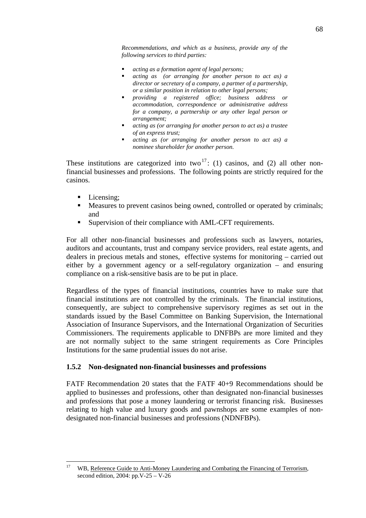*Recommendations, and which as a business, provide any of the following services to third parties:* 

- *acting as a formation agent of legal persons;*
- *acting as (or arranging for another person to act as) a director or secretary of a company, a partner of a partnership, or a similar position in relation to other legal persons;*
- *providing a registered office; business address or accommodation, correspondence or administrative address for a company, a partnership or any other legal person or arrangement;*
- *acting as (or arranging for another person to act as) a trustee of an express trust;*
- *acting as (or arranging for another person to act as) a nominee shareholder for another person.*

These institutions are categorized into two<sup>17</sup>: (1) casinos, and (2) all other nonfinancial businesses and professions. The following points are strictly required for the casinos.

- Licensing;
- Measures to prevent casinos being owned, controlled or operated by criminals; and
- Supervision of their compliance with AML-CFT requirements.

For all other non-financial businesses and professions such as lawyers, notaries, auditors and accountants, trust and company service providers, real estate agents, and dealers in precious metals and stones, effective systems for monitoring – carried out either by a government agency or a self-regulatory organization – and ensuring compliance on a risk-sensitive basis are to be put in place.

Regardless of the types of financial institutions, countries have to make sure that financial institutions are not controlled by the criminals. The financial institutions, consequently, are subject to comprehensive supervisory regimes as set out in the standards issued by the Basel Committee on Banking Supervision, the International Association of Insurance Supervisors, and the International Organization of Securities Commissioners. The requirements applicable to DNFBPs are more limited and they are not normally subject to the same stringent requirements as Core Principles Institutions for the same prudential issues do not arise.

#### **1.5.2 Non-designated non-financial businesses and professions**

FATF Recommendation 20 states that the FATF 40+9 Recommendations should be applied to businesses and professions, other than designated non-financial businesses and professions that pose a money laundering or terrorist financing risk. Businesses relating to high value and luxury goods and pawnshops are some examples of nondesignated non-financial businesses and professions (NDNFBPs).

<sup>&</sup>lt;u>.</u> WB, Reference Guide to Anti-Money Laundering and Combating the Financing of Terrorism. second edition, 2004: pp.V-25 – V-26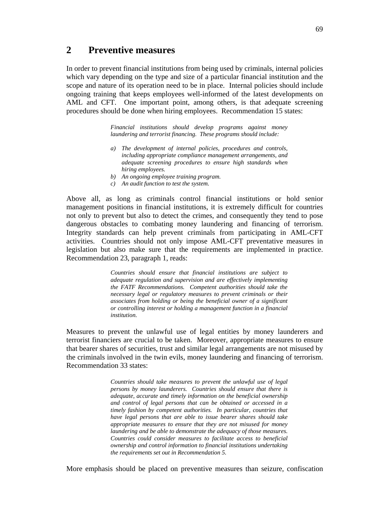## **2 Preventive measures**

In order to prevent financial institutions from being used by criminals, internal policies which vary depending on the type and size of a particular financial institution and the scope and nature of its operation need to be in place. Internal policies should include ongoing training that keeps employees well-informed of the latest developments on AML and CFT. One important point, among others, is that adequate screening procedures should be done when hiring employees. Recommendation 15 states:

> *Financial institutions should develop programs against money laundering and terrorist financing. These programs should include:*

- *a) The development of internal policies, procedures and controls, including appropriate compliance management arrangements, and adequate screening procedures to ensure high standards when hiring employees.*
- *b) An ongoing employee training program.*
- *c) An audit function to test the system.*

Above all, as long as criminals control financial institutions or hold senior management positions in financial institutions, it is extremely difficult for countries not only to prevent but also to detect the crimes, and consequently they tend to pose dangerous obstacles to combating money laundering and financing of terrorism. Integrity standards can help prevent criminals from participating in AML-CFT activities. Countries should not only impose AML-CFT preventative measures in legislation but also make sure that the requirements are implemented in practice. Recommendation 23, paragraph 1, reads:

> *Countries should ensure that financial institutions are subject to adequate regulation and supervision and are effectively implementing the FATF Recommendations. Competent authorities should take the necessary legal or regulatory measures to prevent criminals or their associates from holding or being the beneficial owner of a significant or controlling interest or holding a management function in a financial institution.*

Measures to prevent the unlawful use of legal entities by money launderers and terrorist financiers are crucial to be taken. Moreover, appropriate measures to ensure that bearer shares of securities, trust and similar legal arrangements are not misused by the criminals involved in the twin evils, money laundering and financing of terrorism. Recommendation 33 states:

> *Countries should take measures to prevent the unlawful use of legal persons by money launderers. Countries should ensure that there is adequate, accurate and timely information on the beneficial ownership and control of legal persons that can be obtained or accessed in a timely fashion by competent authorities. In particular, countries that have legal persons that are able to issue bearer shares should take appropriate measures to ensure that they are not misused for money laundering and be able to demonstrate the adequacy of those measures. Countries could consider measures to facilitate access to beneficial ownership and control information to financial institutions undertaking the requirements set out in Recommendation 5.*

More emphasis should be placed on preventive measures than seizure, confiscation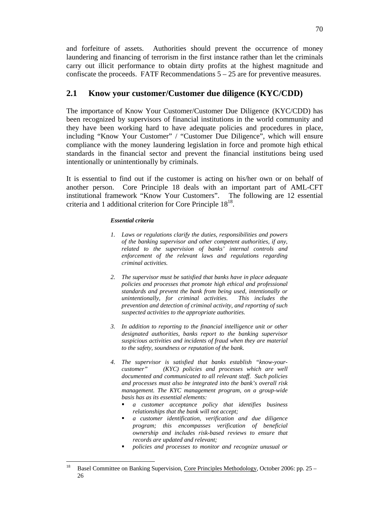and forfeiture of assets. Authorities should prevent the occurrence of money laundering and financing of terrorism in the first instance rather than let the criminals carry out illicit performance to obtain dirty profits at the highest magnitude and confiscate the proceeds. FATF Recommendations  $5 - 25$  are for preventive measures.

# **2.1 Know your customer/Customer due diligence (KYC/CDD)**

The importance of Know Your Customer/Customer Due Diligence (KYC/CDD) has been recognized by supervisors of financial institutions in the world community and they have been working hard to have adequate policies and procedures in place, including "Know Your Customer" / "Customer Due Diligence", which will ensure compliance with the money laundering legislation in force and promote high ethical standards in the financial sector and prevent the financial institutions being used intentionally or unintentionally by criminals.

It is essential to find out if the customer is acting on his/her own or on behalf of another person. Core Principle 18 deals with an important part of AML-CFT institutional framework "Know Your Customers". The following are 12 essential criteria and 1 additional criterion for Core Principle 1818.

#### *Essential criteria*

- *1. Laws or regulations clarify the duties, responsibilities and powers of the banking supervisor and other competent authorities, if any, related to the supervision of banks' internal controls and enforcement of the relevant laws and regulations regarding criminal activities.*
- *2. The supervisor must be satisfied that banks have in place adequate policies and processes that promote high ethical and professional standards and prevent the bank from being used, intentionally or unintentionally, for criminal activities. This includes the prevention and detection of criminal activity, and reporting of such suspected activities to the appropriate authorities.*
- *3. In addition to reporting to the financial intelligence unit or other designated authorities, banks report to the banking supervisor suspicious activities and incidents of fraud when they are material to the safety, soundness or reputation of the bank.*
- *4. The supervisor is satisfied that banks establish "know-yourcustomer" (KYC) policies and processes which are well documented and communicated to all relevant staff. Such policies and processes must also be integrated into the bank's overall risk management. The KYC management program, on a group-wide basis has as its essential elements:* 
	- *a customer acceptance policy that identifies business relationships that the bank will not accept;*
	- *a customer identification, verification and due diligence program; this encompasses verification of beneficial ownership and includes risk-based reviews to ensure that records are updated and relevant;*
	- *policies and processes to monitor and recognize unusual or*

<sup>18</sup> Basel Committee on Banking Supervision, Core Principles Methodology, October 2006: pp. 25 – 26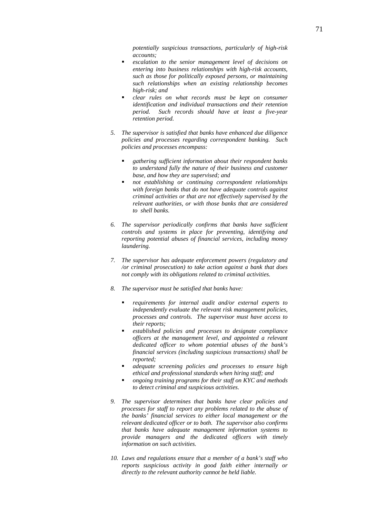*potentially suspicious transactions, particularly of high-risk accounts;* 

- *escalation to the senior management level of decisions on entering into business relationships with high-risk accounts, such as those for politically exposed persons, or maintaining such relationships when an existing relationship becomes high-risk; and*
- *clear rules on what records must be kept on consumer identification and individual transactions and their retention period. Such records should have at least a five-year retention period.*
- *5. The supervisor is satisfied that banks have enhanced due diligence policies and processes regarding correspondent banking. Such policies and processes encompass:* 
	- *gathering sufficient information about their respondent banks to understand fully the nature of their business and customer base, and how they are supervised; and*
	- *not establishing or continuing correspondent relationships with foreign banks that do not have adequate controls against criminal activities or that are not effectively supervised by the relevant authorities, or with those banks that are considered to shell banks.*
- *6. The supervisor periodically confirms that banks have sufficient controls and systems in place for preventing, identifying and reporting potential abuses of financial services, including money laundering.*
- *7. The supervisor has adequate enforcement powers (regulatory and /or criminal prosecution) to take action against a bank that does not comply with its obligations related to criminal activities.*
- *8. The supervisor must be satisfied that banks have:* 
	- *requirements for internal audit and/or external experts to independently evaluate the relevant risk management policies, processes and controls. The supervisor must have access to their reports;*
	- *established policies and processes to designate compliance officers at the management level, and appointed a relevant dedicated officer to whom potential abuses of the bank's financial services (including suspicious transactions) shall be reported;*
	- *adequate screening policies and processes to ensure high ethical and professional standards when hiring staff; and*
	- *ongoing training programs for their staff on KYC and methods to detect criminal and suspicious activities.*
- *9. The supervisor determines that banks have clear policies and processes for staff to report any problems related to the abuse of the banks' financial services to either local management or the relevant dedicated officer or to both. The supervisor also confirms that banks have adequate management information systems to provide managers and the dedicated officers with timely information on such activities.*
- *10. Laws and regulations ensure that a member of a bank's staff who reports suspicious activity in good faith either internally or directly to the relevant authority cannot be held liable.*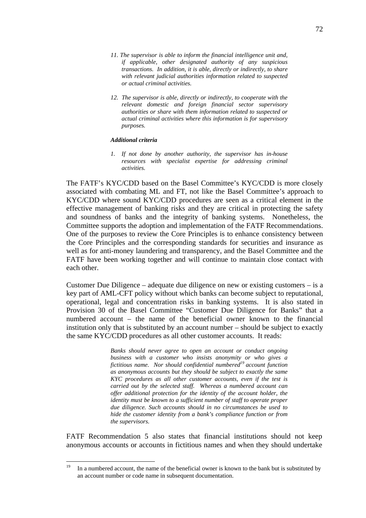- *11. The supervisor is able to inform the financial intelligence unit and, if applicable, other designated authority of any suspicious transactions. In addition, it is able, directly or indirectly, to share with relevant judicial authorities information related to suspected or actual criminal activities.*
- *12. The supervisor is able, directly or indirectly, to cooperate with the relevant domestic and foreign financial sector supervisory authorities or share with them information related to suspected or actual criminal activities where this information is for supervisory purposes.*

#### *Additional criteria*

*1. If not done by another authority, the supervisor has in-house resources with specialist expertise for addressing criminal activities.* 

The FATF's KYC/CDD based on the Basel Committee's KYC/CDD is more closely associated with combating ML and FT, not like the Basel Committee's approach to KYC/CDD where sound KYC/CDD procedures are seen as a critical element in the effective management of banking risks and they are critical in protecting the safety and soundness of banks and the integrity of banking systems. Nonetheless, the Committee supports the adoption and implementation of the FATF Recommendations. One of the purposes to review the Core Principles is to enhance consistency between the Core Principles and the corresponding standards for securities and insurance as well as for anti-money laundering and transparency, and the Basel Committee and the FATF have been working together and will continue to maintain close contact with each other.

Customer Due Diligence – adequate due diligence on new or existing customers – is a key part of AML-CFT policy without which banks can become subject to reputational, operational, legal and concentration risks in banking systems. It is also stated in Provision 30 of the Basel Committee "Customer Due Diligence for Banks" that a numbered account – the name of the beneficial owner known to the financial institution only that is substituted by an account number – should be subject to exactly the same KYC/CDD procedures as all other customer accounts. It reads:

> *Banks should never agree to open an account or conduct ongoing business with a customer who insists anonymity or who gives a fictitious name. Nor should confidential numbered<sup>19</sup> account function as anonymous accounts but they should be subject to exactly the same KYC procedures as all other customer accounts, even if the test is carried out by the selected staff. Whereas a numbered account can offer additional protection for the identity of the account holder, the identity must be known to a sufficient number of staff to operate proper due diligence. Such accounts should in no circumstances be used to hide the customer identity from a bank's compliance function or from the supervisors.*

FATF Recommendation 5 also states that financial institutions should not keep anonymous accounts or accounts in fictitious names and when they should undertake

 $19$ In a numbered account, the name of the beneficial owner is known to the bank but is substituted by an account number or code name in subsequent documentation.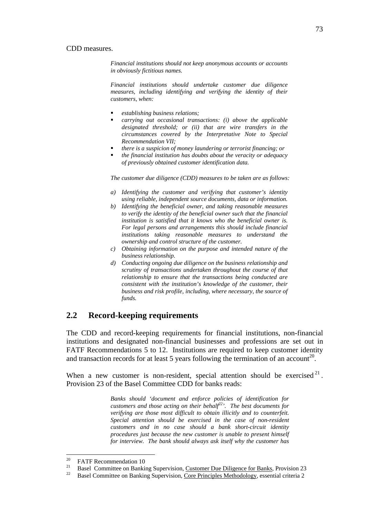#### CDD measures.

*Financial institutions should not keep anonymous accounts or accounts in obviously fictitious names.* 

*Financial institutions should undertake customer due diligence measures, including identifying and verifying the identity of their customers, when:* 

- *establishing business relations;*
- *carrying out occasional transactions: (i) above the applicable designated threshold; or (ii) that are wire transfers in the circumstances covered by the Interpretative Note to Special Recommendation VII;*
- *there is a suspicion of money laundering or terrorist financing; or*
- *the financial institution has doubts about the veracity or adequacy of previously obtained customer identification data.*

*The customer due diligence (CDD) measures to be taken are as follows:* 

- *a) Identifying the customer and verifying that customer's identity using reliable, independent source documents, data or information.*
- *b) Identifying the beneficial owner, and taking reasonable measures to verify the identity of the beneficial owner such that the financial institution is satisfied that it knows who the beneficial owner is. For legal persons and arrangements this should include financial institutions taking reasonable measures to understand the ownership and control structure of the customer.*
- *c) Obtaining information on the purpose and intended nature of the business relationship.*
- *d) Conducting ongoing due diligence on the business relationship and scrutiny of transactions undertaken throughout the course of that relationship to ensure that the transactions being conducted are consistent with the institution's knowledge of the customer, their business and risk profile, including, where necessary, the source of funds.*

### **2.2 Record-keeping requirements**

The CDD and record-keeping requirements for financial institutions, non-financial institutions and designated non-financial businesses and professions are set out in FATF Recommendations 5 to 12. Institutions are required to keep customer identity and transaction records for at least 5 years following the termination of an account<sup>20</sup>.

When a new customer is non-resident, special attention should be exercised  $2^1$ . Provision 23 of the Basel Committee CDD for banks reads:

> *Banks should 'document and enforce policies of identification for customers and those acting on their behalf*<sup>22</sup>*. The best documents for verifying are those most difficult to obtain illicitly and to counterfeit. Special attention should be exercised in the case of non-resident customers and in no case should a bank short-circuit identity procedures just because the new customer is unable to present himself for interview. The bank should always ask itself why the customer has*

 $20$ <sup>20</sup> FATF Recommendation 10

<sup>&</sup>lt;sup>21</sup> Basel Committee on Banking Supervision, Customer Due Diligence for Banks, Provision 23<br><sup>22</sup> Basel Committee on Banking Supervision, Core Principles Methodology, essential criteria 2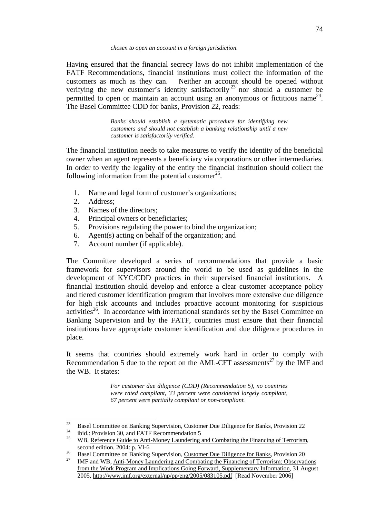Having ensured that the financial secrecy laws do not inhibit implementation of the FATF Recommendations, financial institutions must collect the information of the customers as much as they can. Neither an account should be opened without verifying the new customer's identity satisfactorily<sup>23</sup> nor should a customer be permitted to open or maintain an account using an anonymous or fictitious name<sup>24</sup>. The Basel Committee CDD for banks, Provision 22, reads:

> *Banks should establish a systematic procedure for identifying new customers and should not establish a banking relationship until a new customer is satisfactorily verified.*

The financial institution needs to take measures to verify the identity of the beneficial owner when an agent represents a beneficiary via corporations or other intermediaries. In order to verify the legality of the entity the financial institution should collect the following information from the potential customer<sup>25</sup>.

- 1. Name and legal form of customer's organizations;
- 2. Address;
- 3. Names of the directors;
- 4. Principal owners or beneficiaries;
- 5. Provisions regulating the power to bind the organization;
- 6. Agent(s) acting on behalf of the organization; and
- 7. Account number (if applicable).

The Committee developed a series of recommendations that provide a basic framework for supervisors around the world to be used as guidelines in the development of KYC/CDD practices in their supervised financial institutions. A financial institution should develop and enforce a clear customer acceptance policy and tiered customer identification program that involves more extensive due diligence for high risk accounts and includes proactive account monitoring for suspicious activities<sup>26</sup>. In accordance with international standards set by the Basel Committee on Banking Supervision and by the FATF, countries must ensure that their financial institutions have appropriate customer identification and due diligence procedures in place.

It seems that countries should extremely work hard in order to comply with Recommendation 5 due to the report on the AML-CFT assessments<sup>27</sup> by the IMF and the WB. It states:

> *For customer due diligence (CDD) (Recommendation 5), no countries were rated compliant, 33 percent were considered largely compliant, 67 percent were partially compliant or non-compliant.*

<sup>23</sup> <sup>23</sup> Basel Committee on Banking Supervision, <u>Customer Due Diligence for Banks</u>, Provision 22<br><sup>24</sup> ibid.: Provision 30, and FATF Recommendation 5<br><sup>25</sup> W.D. Reference Cuidate Anti Manau Laurdating and Cambating the Financi

<sup>25</sup> WB, Reference Guide to Anti-Money Laundering and Combating the Financing of Terrorism, second edition, 2004: p. VI-6<br>
<sup>26</sup> Basel Committee on Banking Supervision, <u>Customer Due Diligence for Banks</u>, Provision 20<br>
<sup>27</sup> IMF and WB, Anti-Money Laundering and Combating the Financing of Terrorism: Observations

from the Work Program and Implications Going Forward, Supplementary Information*,* 31 August 2005, http://www.imf.org/external/np/pp/eng/2005/083105.pdf [Read November 2006]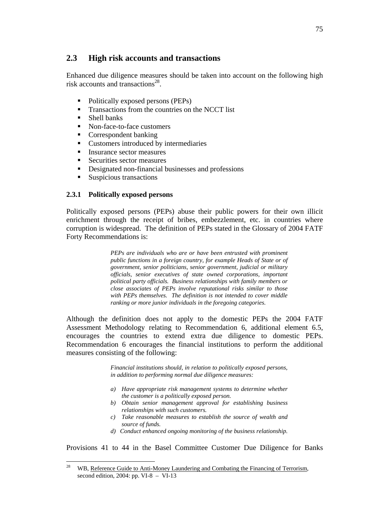### **2.3 High risk accounts and transactions**

Enhanced due diligence measures should be taken into account on the following high risk accounts and transactions<sup>28</sup>.

- Politically exposed persons (PEPs)
- **Transactions from the countries on the NCCT list**
- Shell banks

<u>.</u>

- Non-face-to-face customers
- Correspondent banking
- **Customers introduced by intermediaries**
- Insurance sector measures
- Securities sector measures
- Designated non-financial businesses and professions
- **Suspicious transactions**

#### **2.3.1 Politically exposed persons**

Politically exposed persons (PEPs) abuse their public powers for their own illicit enrichment through the receipt of bribes, embezzlement, etc. in countries where corruption is widespread. The definition of PEPs stated in the Glossary of 2004 FATF Forty Recommendations is:

> *PEPs are individuals who are or have been entrusted with prominent public functions in a foreign country, for example Heads of State or of government, senior politicians, senior government, judicial or military officials, senior executives of state owned corporations, important political party officials. Business relationships with family members or close associates of PEPs involve reputational risks similar to those with PEPs themselves. The definition is not intended to cover middle ranking or more junior individuals in the foregoing categories.*

Although the definition does not apply to the domestic PEPs the 2004 FATF Assessment Methodology relating to Recommendation 6, additional element 6.5, encourages the countries to extend extra due diligence to domestic PEPs. Recommendation 6 encourages the financial institutions to perform the additional measures consisting of the following:

> *Financial institutions should, in relation to politically exposed persons, in addition to performing normal due diligence measures:*

- *a) Have appropriate risk management systems to determine whether the customer is a politically exposed person.*
- *b) Obtain senior management approval for establishing business relationships with such customers.*
- *c) Take reasonable measures to establish the source of wealth and source of funds.*
- *d) Conduct enhanced ongoing monitoring of the business relationship.*

Provisions 41 to 44 in the Basel Committee Customer Due Diligence for Banks

WB, Reference Guide to Anti-Money Laundering and Combating the Financing of Terrorism, second edition, 2004: pp. VI-8 – VI-13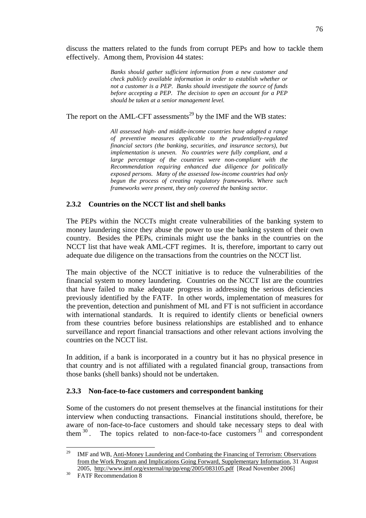discuss the matters related to the funds from corrupt PEPs and how to tackle them effectively. Among them, Provision 44 states:

> *Banks should gather sufficient information from a new customer and check publicly available information in order to establish whether or not a customer is a PEP. Banks should investigate the source of funds before accepting a PEP. The decision to open an account for a PEP should be taken at a senior management level.*

The report on the AML-CFT assessments<sup>29</sup> by the IMF and the WB states:

*All assessed high- and middle-income countries have adopted a range of preventive measures applicable to the prudentially-regulated financial sectors (the banking, securities, and insurance sectors), but implementation is uneven. No countries were fully compliant, and a large percentage of the countries were non-compliant with the Recommendation requiring enhanced due diligence for politically exposed persons. Many of the assessed low-income countries had only begun the process of creating regulatory frameworks. Where such frameworks were present, they only covered the banking sector.* 

#### **2.3.2 Countries on the NCCT list and shell banks**

The PEPs within the NCCTs might create vulnerabilities of the banking system to money laundering since they abuse the power to use the banking system of their own country. Besides the PEPs, criminals might use the banks in the countries on the NCCT list that have weak AML-CFT regimes. It is, therefore, important to carry out adequate due diligence on the transactions from the countries on the NCCT list.

The main objective of the NCCT initiative is to reduce the vulnerabilities of the financial system to money laundering. Countries on the NCCT list are the countries that have failed to make adequate progress in addressing the serious deficiencies previously identified by the FATF. In other words, implementation of measures for the prevention, detection and punishment of ML and FT is not sufficient in accordance with international standards. It is required to identify clients or beneficial owners from these countries before business relationships are established and to enhance surveillance and report financial transactions and other relevant actions involving the countries on the NCCT list.

In addition, if a bank is incorporated in a country but it has no physical presence in that country and is not affiliated with a regulated financial group, transactions from those banks (shell banks) should not be undertaken.

#### **2.3.3 Non-face-to-face customers and correspondent banking**

Some of the customers do not present themselves at the financial institutions for their interview when conducting transactions. Financial institutions should, therefore, be aware of non-face-to-face customers and should take necessary steps to deal with them  $30$ . The topics related to non-face-to-face customers  $31$  and correspondent

1

<sup>&</sup>lt;sup>29</sup> IMF and WB, Anti-Money Laundering and Combating the Financing of Terrorism: Observations from the Work Program and Implications Going Forward, Supplementary Information*,* 31 August 2005, http://www.imf.org/external/np/pp/eng/2005/083105.pdf [Read November 2006] 30 FATF Recommendation 8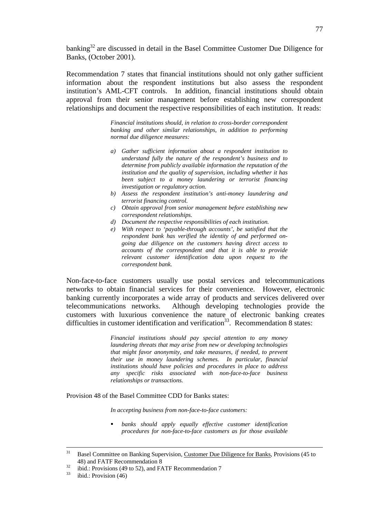banking<sup>32</sup> are discussed in detail in the Basel Committee Customer Due Diligence for Banks, (October 2001).

Recommendation 7 states that financial institutions should not only gather sufficient information about the respondent institutions but also assess the respondent institution's AML-CFT controls. In addition, financial institutions should obtain approval from their senior management before establishing new correspondent relationships and document the respective responsibilities of each institution. It reads:

> *Financial institutions should, in relation to cross-border correspondent banking and other similar relationships, in addition to performing normal due diligence measures:*

- *a) Gather sufficient information about a respondent institution to understand fully the nature of the respondent's business and to determine from publicly available information the reputation of the institution and the quality of supervision, including whether it has been subject to a money laundering or terrorist financing investigation or regulatory action.*
- *b) Assess the respondent institution's anti-money laundering and terrorist financing control.*
- *c) Obtain approval from senior management before establishing new correspondent relationships.*
- *d) Document the respective responsibilities of each institution.*
- *e) With respect to 'payable-through accounts', be satisfied that the respondent bank has verified the identity of and performed ongoing due diligence on the customers having direct access to accounts of the correspondent and that it is able to provide relevant customer identification data upon request to the correspondent bank.*

Non-face-to-face customers usually use postal services and telecommunications networks to obtain financial services for their convenience. However, electronic banking currently incorporates a wide array of products and services delivered over telecommunications networks. Although developing technologies provide the customers with luxurious convenience the nature of electronic banking creates difficulties in customer identification and verification<sup>33</sup>. Recommendation 8 states:

> *Financial institutions should pay special attention to any money laundering threats that may arise from new or developing technologies that might favor anonymity, and take measures, if needed, to prevent their use in money laundering schemes. In particular, financial institutions should have policies and procedures in place to address any specific risks associated with non-face-to-face business relationships or transactions.*

Provision 48 of the Basel Committee CDD for Banks states:

*In accepting business from non-face-to-face customers:* 

 *banks should apply equally effective customer identification procedures for non-face-to-face customers as for those available* 

<sup>&</sup>lt;sup>31</sup> Basel Committee on Banking Supervision, Customer Due Diligence for Banks, Provisions (45 to 48) and FATF Recommendation 8<br>  $\frac{32}{161}$  ibid.: Provisions (49 to 52), and FATF Recommendation 7<br>  $\frac{33}{1614}$  : Provision (46)

ibid.: Provision (46)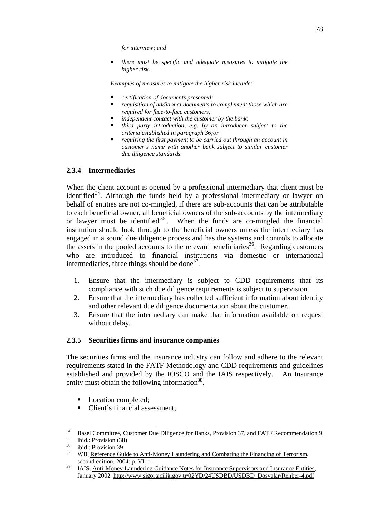*for interview; and* 

 *there must be specific and adequate measures to mitigate the higher risk.* 

*Examples of measures to mitigate the higher risk include:* 

- *certification of documents presented;*
- *requisition of additional documents to complement those which are required for face-to-face customers;*
- *independent contact with the customer by the bank;*
- *third party introduction, e.g. by an introducer subject to the criteria established in paragraph 36;or*
- *requiring the first payment to be carried out through an account in customer's name with another bank subject to similar customer due diligence standards.*

#### **2.3.4 Intermediaries**

When the client account is opened by a professional intermediary that client must be identified<sup>34</sup>. Although the funds held by a professional intermediary or lawyer on behalf of entities are not co-mingled, if there are sub-accounts that can be attributable to each beneficial owner, all beneficial owners of the sub-accounts by the intermediary or lawyer must be identified  $35$ . When the funds are co-mingled the financial institution should look through to the beneficial owners unless the intermediary has engaged in a sound due diligence process and has the systems and controls to allocate the assets in the pooled accounts to the relevant beneficiaries<sup>36</sup>. Regarding customers who are introduced to financial institutions via domestic or international intermediaries, three things should be done $3^7$ .

- 1. Ensure that the intermediary is subject to CDD requirements that its compliance with such due diligence requirements is subject to supervision.
- 2. Ensure that the intermediary has collected sufficient information about identity and other relevant due diligence documentation about the customer.
- 3. Ensure that the intermediary can make that information available on request without delay.

#### **2.3.5 Securities firms and insurance companies**

The securities firms and the insurance industry can follow and adhere to the relevant requirements stated in the FATF Methodology and CDD requirements and guidelines established and provided by the IOSCO and the IAIS respectively. An Insurance entity must obtain the following information<sup>38</sup>.

- Location completed;
- Client's financial assessment;

1

<sup>&</sup>lt;sup>34</sup> Basel Committee, <u>Customer Due Diligence for Banks</u>, Provision 37, and FATF Recommendation 9 ibid.: Provision (38)<br><sup>35</sup> ibid.: Provision (38)

 $\frac{36}{37}$  ibid.: Provision 39

WB, Reference Guide to Anti-Money Laundering and Combating the Financing of Terrorism, second edition, 2004: p. VI-11<br>IAIS, Anti-Money Laundering Guidance Notes for Insurance Supervisors and Insurance Entities,

January 2002. http://www.sigortacilik.gov.tr/02YD/24USDBD/USDBD\_Dosyalar/Rehber-4.pdf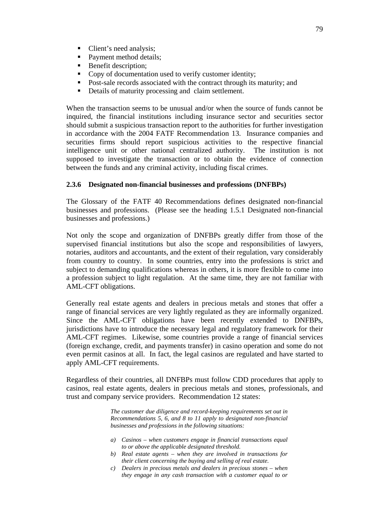- Client's need analysis;
- Payment method details;
- Benefit description;
- Copy of documentation used to verify customer identity;
- Post-sale records associated with the contract through its maturity; and
- Details of maturity processing and claim settlement.

When the transaction seems to be unusual and/or when the source of funds cannot be inquired, the financial institutions including insurance sector and securities sector should submit a suspicious transaction report to the authorities for further investigation in accordance with the 2004 FATF Recommendation 13. Insurance companies and securities firms should report suspicious activities to the respective financial intelligence unit or other national centralized authority. The institution is not supposed to investigate the transaction or to obtain the evidence of connection between the funds and any criminal activity, including fiscal crimes.

#### **2.3.6 Designated non-financial businesses and professions (DNFBPs)**

The Glossary of the FATF 40 Recommendations defines designated non-financial businesses and professions. (Please see the heading 1.5.1 Designated non-financial businesses and professions.)

Not only the scope and organization of DNFBPs greatly differ from those of the supervised financial institutions but also the scope and responsibilities of lawyers, notaries, auditors and accountants, and the extent of their regulation, vary considerably from country to country. In some countries, entry into the professions is strict and subject to demanding qualifications whereas in others, it is more flexible to come into a profession subject to light regulation. At the same time, they are not familiar with AML-CFT obligations.

Generally real estate agents and dealers in precious metals and stones that offer a range of financial services are very lightly regulated as they are informally organized. Since the AML-CFT obligations have been recently extended to DNFBPs, jurisdictions have to introduce the necessary legal and regulatory framework for their AML-CFT regimes. Likewise, some countries provide a range of financial services (foreign exchange, credit, and payments transfer) in casino operation and some do not even permit casinos at all. In fact, the legal casinos are regulated and have started to apply AML-CFT requirements.

Regardless of their countries, all DNFBPs must follow CDD procedures that apply to casinos, real estate agents, dealers in precious metals and stones, professionals, and trust and company service providers. Recommendation 12 states:

> *The customer due diligence and record-keeping requirements set out in Recommendations 5, 6, and 8 to 11 apply to designated non-financial businesses and professions in the following situations:*

- *a) Casinos when customers engage in financial transactions equal to or above the applicable designated threshold.*
- *b) Real estate agents when they are involved in transactions for their client concerning the buying and selling of real estate.*
- *c) Dealers in precious metals and dealers in precious stones when they engage in any cash transaction with a customer equal to or*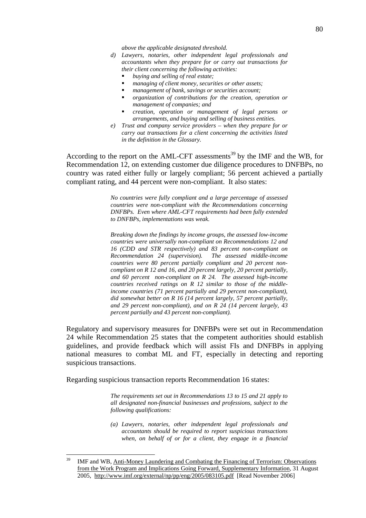*above the applicable designated threshold.* 

- *d) Lawyers, notaries, other independent legal professionals and accountants when they prepare for or carry out transactions for their client concerning the following activities:* 
	- *buying and selling of real estate;*
	- *managing of client money, securities or other assets;*
	- *management of bank, savings or securities account;*
	- *organization of contributions for the creation, operation or management of companies; and*
	- *creation, operation or management of legal persons or arrangements, and buying and selling of business entities.*
- *e) Trust and company service providers when they prepare for or carry out transactions for a client concerning the activities listed in the definition in the Glossary.*

According to the report on the AML-CFT assessments<sup>39</sup> by the IMF and the WB, for Recommendation 12, on extending customer due diligence procedures to DNFBPs, no country was rated either fully or largely compliant; 56 percent achieved a partially compliant rating, and 44 percent were non-compliant. It also states:

> *No countries were fully compliant and a large percentage of assessed countries were non-compliant with the Recommendations concerning DNFBPs. Even where AML-CFT requirements had been fully extended to DNFBPs, implementations was weak.*

> *Breaking down the findings by income groups, the assessed low-income countries were universally non-compliant on Recommendations 12 and 16 (CDD and STR respectively) and 83 percent non-compliant on Recommendation 24 (supervision). The assessed middle-income countries were 80 percent partially compliant and 20 percent noncompliant on R 12 and 16, and 20 percent largely, 20 percent partially, and 60 percent non-compliant on R 24. The assessed high-income countries received ratings on R 12 similar to those of the middleincome countries (71 percent partially and 29 percent non-compliant), did somewhat better on R 16 (14 percent largely, 57 percent partially, and 29 percent non-compliant), and on R 24 (14 percent largely, 43 percent partially and 43 percent non-compliant).*

Regulatory and supervisory measures for DNFBPs were set out in Recommendation 24 while Recommendation 25 states that the competent authorities should establish guidelines, and provide feedback which will assist FIs and DNFBPs in applying national measures to combat ML and FT, especially in detecting and reporting suspicious transactions.

Regarding suspicious transaction reports Recommendation 16 states:

1

*The requirements set out in Recommendations 13 to 15 and 21 apply to all designated non-financial businesses and professions, subject to the following qualifications:* 

*(a) Lawyers, notaries, other independent legal professionals and accountants should be required to report suspicious transactions when, on behalf of or for a client, they engage in a financial* 

IMF and WB, Anti-Money Laundering and Combating the Financing of Terrorism: Observations from the Work Program and Implications Going Forward, Supplementary Information*,* 31 August 2005, http://www.imf.org/external/np/pp/eng/2005/083105.pdf [Read November 2006]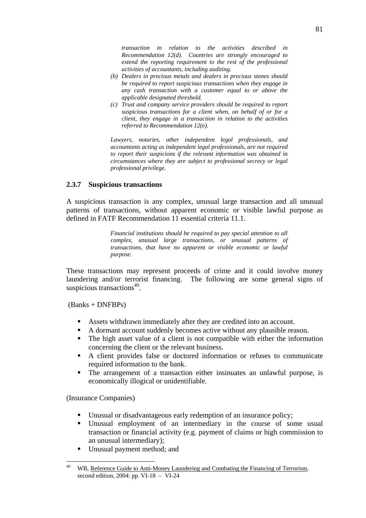*transaction in relation to the activities described in Recommendation 12(d). Countries are strongly encouraged to extend the reporting requirement to the rest of the professional activities of accountants, including auditing.* 

- *(b) Dealers in precious metals and dealers in precious stones should be required to report suspicious transactions when they engage in any cash transaction with a customer equal to or above the applicable designated threshold.*
- *(c) Trust and company service providers should be required to report suspicious transactions for a client when, on behalf of or for a client, they engage in a transaction in relation to the activities referred to Recommendation 12(e).*

*Lawyers, notaries, other independent legal professionals, and accountants acting as independent legal professionals, are not required to report their suspicions if the relevant information was obtained in circumstances where they are subject to professional secrecy or legal professional privilege.* 

#### **2.3.7 Suspicious transactions**

A suspicious transaction is any complex, unusual large transaction and all unusual patterns of transactions, without apparent economic or visible lawful purpose as defined in FATF Recommendation 11 essential criteria 11.1.

> *Financial institutions should be required to pay special attention to all complex, unusual large transactions, or unusual patterns of transactions, that have no apparent or visible economic or lawful purpose.*

These transactions may represent proceeds of crime and it could involve money laundering and/or terrorist financing. The following are some general signs of suspicious transactions $40$ .

(Banks + DNFBPs)

- Assets withdrawn immediately after they are credited into an account.
- A dormant account suddenly becomes active without any plausible reason.
- The high asset value of a client is not compatible with either the information concerning the client or the relevant business.
- A client provides false or doctored information or refuses to communicate required information to the bank.
- The arrangement of a transaction either insinuates an unlawful purpose, is economically illogical or unidentifiable.

(Insurance Companies)

<u>.</u>

- Unusual or disadvantageous early redemption of an insurance policy;
- Unusual employment of an intermediary in the course of some usual transaction or financial activity (e.g. payment of claims or high commission to an unusual intermediary);
- Unusual payment method; and

WB, Reference Guide to Anti-Money Laundering and Combating the Financing of Terrorism, second edition, 2004: pp. VI-18 – VI-24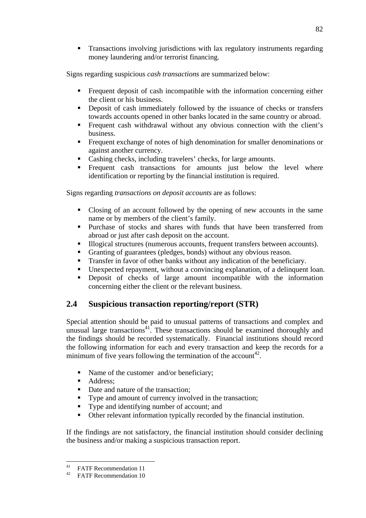Transactions involving jurisdictions with lax regulatory instruments regarding money laundering and/or terrorist financing.

Signs regarding suspicious *cash transactions* are summarized below:

- Frequent deposit of cash incompatible with the information concerning either the client or his business.
- Deposit of cash immediately followed by the issuance of checks or transfers towards accounts opened in other banks located in the same country or abroad.
- Frequent cash withdrawal without any obvious connection with the client's business.
- Frequent exchange of notes of high denomination for smaller denominations or against another currency.
- Cashing checks, including travelers' checks, for large amounts.
- Frequent cash transactions for amounts just below the level where identification or reporting by the financial institution is required.

Signs regarding *transactions on deposit accounts* are as follows:

- Closing of an account followed by the opening of new accounts in the same name or by members of the client's family.
- Purchase of stocks and shares with funds that have been transferred from abroad or just after cash deposit on the account.
- Illogical structures (numerous accounts, frequent transfers between accounts).
- Granting of guarantees (pledges, bonds) without any obvious reason.
- Transfer in favor of other banks without any indication of the beneficiary.
- Unexpected repayment, without a convincing explanation, of a delinquent loan.
- Deposit of checks of large amount incompatible with the information concerning either the client or the relevant business.

# **2.4 Suspicious transaction reporting/report (STR)**

Special attention should be paid to unusual patterns of transactions and complex and unusual large transactions<sup>41</sup>. These transactions should be examined thoroughly and the findings should be recorded systematically. Financial institutions should record the following information for each and every transaction and keep the records for a minimum of five years following the termination of the account<sup>42</sup>.

- Name of the customer and/or beneficiary;
- Address:
- Date and nature of the transaction:
- Type and amount of currency involved in the transaction;
- Type and identifying number of account; and
- Other relevant information typically recorded by the financial institution.

If the findings are not satisfactory, the financial institution should consider declining the business and/or making a suspicious transaction report.

 $41$ <sup>41</sup> FATF Recommendation 11<br> $^{42}$  FATE Recommendation 10

<sup>42</sup> FATF Recommendation 10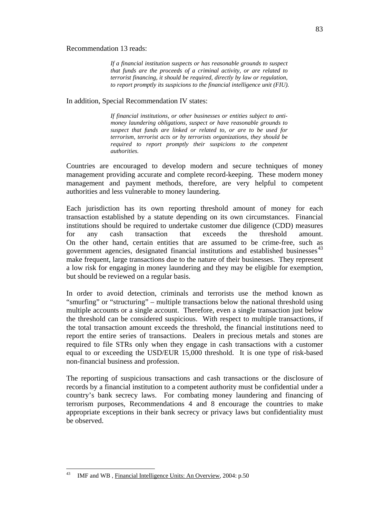#### Recommendation 13 reads:

*If a financial institution suspects or has reasonable grounds to suspect that funds are the proceeds of a criminal activity, or are related to terrorist financing, it should be required, directly by law or regulation, to report promptly its suspicions to the financial intelligence unit (FIU).* 

In addition, Special Recommendation IV states:

*If financial institutions, or other businesses or entities subject to antimoney laundering obligations, suspect or have reasonable grounds to suspect that funds are linked or related to, or are to be used for terrorism, terrorist acts or by terrorists organizations, they should be required to report promptly their suspicions to the competent authorities.* 

Countries are encouraged to develop modern and secure techniques of money management providing accurate and complete record-keeping. These modern money management and payment methods, therefore, are very helpful to competent authorities and less vulnerable to money laundering.

Each jurisdiction has its own reporting threshold amount of money for each transaction established by a statute depending on its own circumstances. Financial institutions should be required to undertake customer due diligence (CDD) measures for any cash transaction that exceeds the threshold amount. On the other hand, certain entities that are assumed to be crime-free, such as government agencies, designated financial institutions and established businesses<sup>43</sup> make frequent, large transactions due to the nature of their businesses. They represent a low risk for engaging in money laundering and they may be eligible for exemption, but should be reviewed on a regular basis.

In order to avoid detection, criminals and terrorists use the method known as "smurfing" or "structuring" – multiple transactions below the national threshold using multiple accounts or a single account. Therefore, even a single transaction just below the threshold can be considered suspicious. With respect to multiple transactions, if the total transaction amount exceeds the threshold, the financial institutions need to report the entire series of transactions. Dealers in precious metals and stones are required to file STRs only when they engage in cash transactions with a customer equal to or exceeding the USD/EUR 15,000 threshold. It is one type of risk-based non-financial business and profession.

The reporting of suspicious transactions and cash transactions or the disclosure of records by a financial institution to a competent authority must be confidential under a country's bank secrecy laws. For combating money laundering and financing of terrorism purposes, Recommendations 4 and 8 encourage the countries to make appropriate exceptions in their bank secrecy or privacy laws but confidentiality must be observed.

 $43$ IMF and WB, Financial Intelligence Units: An Overview, 2004: p.50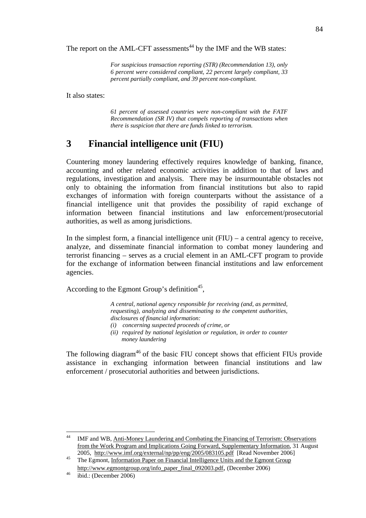The report on the AML-CFT assessments<sup>44</sup> by the IMF and the WB states:

*For suspicious transaction reporting (STR) (Recommendation 13), only 6 percent were considered compliant, 22 percent largely compliant, 33 percent partially compliant, and 39 percent non-compliant.* 

It also states:

*61 percent of assessed countries were non-compliant with the FATF Recommendation (SR IV) that compels reporting of transactions when there is suspicion that there are funds linked to terrorism.* 

# **3 Financial intelligence unit (FIU)**

Countering money laundering effectively requires knowledge of banking, finance, accounting and other related economic activities in addition to that of laws and regulations, investigation and analysis. There may be insurmountable obstacles not only to obtaining the information from financial institutions but also to rapid exchanges of information with foreign counterparts without the assistance of a financial intelligence unit that provides the possibility of rapid exchange of information between financial institutions and law enforcement/prosecutorial authorities, as well as among jurisdictions.

In the simplest form, a financial intelligence unit  $(FIU)$  – a central agency to receive, analyze, and disseminate financial information to combat money laundering and terrorist financing – serves as a crucial element in an AML-CFT program to provide for the exchange of information between financial institutions and law enforcement agencies.

According to the Egmont Group's definition<sup>45</sup>,

*A central, national agency responsible for receiving (and, as permitted, requesting), analyzing and disseminating to the competent authorities, disclosures of financial information:* 

- *(i) concerning suspected proceeds of crime, or*
- *(ii) required by national legislation or regulation, in order to counter money laundering*

The following diagram<sup> $46$ </sup> of the basic FIU concept shows that efficient FIUs provide assistance in exchanging information between financial institutions and law enforcement / prosecutorial authorities and between jurisdictions.

1

IMF and WB, Anti-Money Laundering and Combating the Financing of Terrorism: Observations from the Work Program and Implications Going Forward, Supplementary Information*,* 31 August

<sup>2005,</sup> http://www.imf.org/external/np/pp/eng/2005/083105.pdf [Read November 2006]<br>The Egmont, Information Paper on Financial Intelligence Units and the Egmont Group http://www.egmontgroup.org/info\_paper\_final\_092003.pdf, (December 2006) ibid.: (December 2006)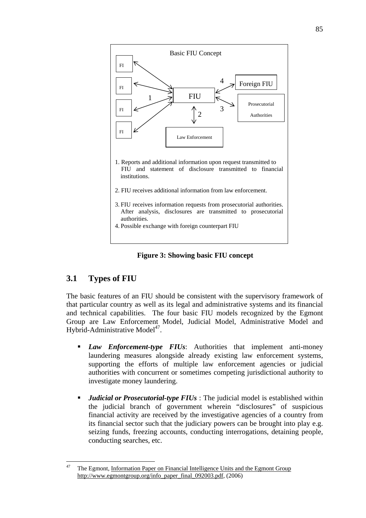

**Figure 3: Showing basic FIU concept**

# **3.1 Types of FIU**

The basic features of an FIU should be consistent with the supervisory framework of that particular country as well as its legal and administrative systems and its financial and technical capabilities. The four basic FIU models recognized by the Egmont Group are Law Enforcement Model, Judicial Model, Administrative Model and Hybrid-Administrative Model<sup>47</sup>.

- *Law Enforcement-type FIUs*: Authorities that implement anti-money laundering measures alongside already existing law enforcement systems, supporting the efforts of multiple law enforcement agencies or judicial authorities with concurrent or sometimes competing jurisdictional authority to investigate money laundering.
- *Judicial or Prosecutorial-type FIUs* : The judicial model is established within the judicial branch of government wherein "disclosures" of suspicious financial activity are received by the investigative agencies of a country from its financial sector such that the judiciary powers can be brought into play e.g. seizing funds, freezing accounts, conducting interrogations, detaining people, conducting searches, etc.

<sup>&</sup>lt;u>.</u> The Egmont, Information Paper on Financial Intelligence Units and the Egmont Group http://www.egmontgroup.org/info\_paper\_final\_092003.pdf, (2006)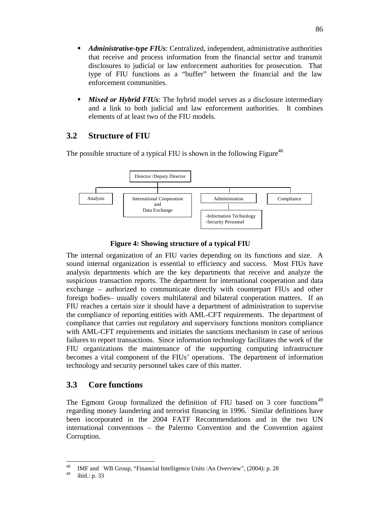- *Administrative-type FIUs*: Centralized, independent, administrative authorities that receive and process information from the financial sector and transmit disclosures to judicial or law enforcement authorities for prosecution. That type of FIU functions as a "buffer" between the financial and the law enforcement communities.
- *Mixed or Hybrid FIUs*: The hybrid model serves as a disclosure intermediary and a link to both judicial and law enforcement authorities. It combines elements of at least two of the FIU models.

# **3.2 Structure of FIU**

The possible structure of a typical FIU is shown in the following Figure<sup>48</sup>



**Figure 4: Showing structure of a typical FIU** 

The internal organization of an FIU varies depending on its functions and size. A sound internal organization is essential to efficiency and success. Most FIUs have analysis departments which are the key departments that receive and analyze the suspicious transaction reports. The department for international cooperation and data exchange – authorized to communicate directly with counterpart FIUs and other foreign bodies– usually covers multilateral and bilateral cooperation matters. If an FIU reaches a certain size it should have a department of administration to supervise the compliance of reporting entities with AML-CFT requirements. The department of compliance that carries out regulatory and supervisory functions monitors compliance with AML-CFT requirements and initiates the sanctions mechanism in case of serious failures to report transactions. Since information technology facilitates the work of the FIU organizations the maintenance of the supporting computing infrastructure becomes a vital component of the FIUs' operations. The department of information technology and security personnel takes care of this matter.

# **3.3 Core functions**

The Egmont Group formalized the definition of FIU based on 3 core functions<sup>49</sup> regarding money laundering and terrorist financing in 1996. Similar definitions have been incorporated in the 2004 FATF Recommendations and in the two UN international conventions – the Palermo Convention and the Convention against Corruption.

<sup>48</sup> <sup>48</sup> IMF and WB Group, "Financial Intelligence Units :An Overview", (2004): p. 28

ibid.: p. 33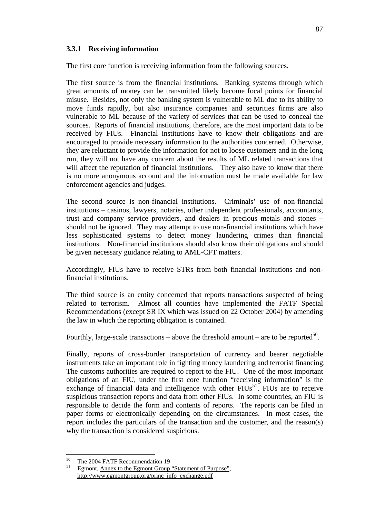#### **3.3.1 Receiving information**

The first core function is receiving information from the following sources.

The first source is from the financial institutions. Banking systems through which great amounts of money can be transmitted likely become focal points for financial misuse. Besides, not only the banking system is vulnerable to ML due to its ability to move funds rapidly, but also insurance companies and securities firms are also vulnerable to ML because of the variety of services that can be used to conceal the sources. Reports of financial institutions, therefore, are the most important data to be received by FIUs. Financial institutions have to know their obligations and are encouraged to provide necessary information to the authorities concerned. Otherwise, they are reluctant to provide the information for not to loose customers and in the long run, they will not have any concern about the results of ML related transactions that will affect the reputation of financial institutions. They also have to know that there is no more anonymous account and the information must be made available for law enforcement agencies and judges.

The second source is non-financial institutions. Criminals' use of non-financial institutions – casinos, lawyers, notaries, other independent professionals, accountants, trust and company service providers, and dealers in precious metals and stones – should not be ignored. They may attempt to use non-financial institutions which have less sophisticated systems to detect money laundering crimes than financial institutions. Non-financial institutions should also know their obligations and should be given necessary guidance relating to AML-CFT matters.

Accordingly, FIUs have to receive STRs from both financial institutions and nonfinancial institutions.

The third source is an entity concerned that reports transactions suspected of being related to terrorism. Almost all counties have implemented the FATF Special Recommendations (except SR IX which was issued on 22 October 2004) by amending the law in which the reporting obligation is contained.

Fourthly, large-scale transactions – above the threshold amount – are to be reported<sup>50</sup>.

Finally, reports of cross-border transportation of currency and bearer negotiable instruments take an important role in fighting money laundering and terrorist financing. The customs authorities are required to report to the FIU. One of the most important obligations of an FIU, under the first core function "receiving information" is the exchange of financial data and intelligence with other  $FIUs<sup>51</sup>$ . FIUs are to receive suspicious transaction reports and data from other FIUs. In some countries, an FIU is responsible to decide the form and contents of reports. The reports can be filed in paper forms or electronically depending on the circumstances. In most cases, the report includes the particulars of the transaction and the customer, and the reason(s) why the transaction is considered suspicious.

1

 $^{50}$  The 2004 FATF Recommendation 19<br> $^{51}$  Equation Appendix to the Equation Cross

Egmont, Annex to the Egmont Group "Statement of Purpose", http://www.egmontgroup.org/princ\_info\_exchange.pdf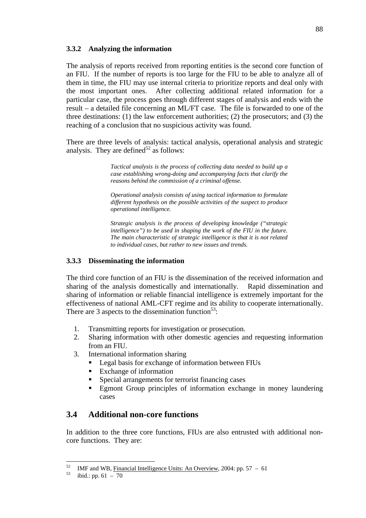#### **3.3.2 Analyzing the information**

The analysis of reports received from reporting entities is the second core function of an FIU. If the number of reports is too large for the FIU to be able to analyze all of them in time, the FIU may use internal criteria to prioritize reports and deal only with the most important ones. After collecting additional related information for a particular case, the process goes through different stages of analysis and ends with the result – a detailed file concerning an ML/FT case. The file is forwarded to one of the three destinations: (1) the law enforcement authorities; (2) the prosecutors; and (3) the reaching of a conclusion that no suspicious activity was found.

There are three levels of analysis: tactical analysis, operational analysis and strategic analysis. They are defined $52$  as follows:

> *Tactical analysis is the process of collecting data needed to build up a case establishing wrong-doing and accompanying facts that clarify the reasons behind the commission of a criminal offense.*

> *Operational analysis consists of using tactical information to formulate different hypothesis on the possible activities of the suspect to produce operational intelligence.*

> *Strategic analysis is the process of developing knowledge ("strategic intelligence") to be used in shaping the work of the FIU in the future. The main characteristic of strategic intelligence is that it is not related to individual cases, but rather to new issues and trends.*

### **3.3.3 Disseminating the information**

The third core function of an FIU is the dissemination of the received information and sharing of the analysis domestically and internationally. Rapid dissemination and sharing of information or reliable financial intelligence is extremely important for the effectiveness of national AML-CFT regime and its ability to cooperate internationally. There are 3 aspects to the dissemination function<sup>53</sup>:

- 1. Transmitting reports for investigation or prosecution.
- 2. Sharing information with other domestic agencies and requesting information from an FIU.
- 3. International information sharing
	- Legal basis for exchange of information between FIUs
	- Exchange of information
	- Special arrangements for terrorist financing cases
	- Egmont Group principles of information exchange in money laundering cases

# **3.4 Additional non-core functions**

In addition to the three core functions, FIUs are also entrusted with additional noncore functions. They are:

 $52$ <sup>52</sup> IMF and WB, <u>Financial Intelligence Units: An Overview</u>, 2004: pp. 57 – 61 ibid.: pp. 61 – 70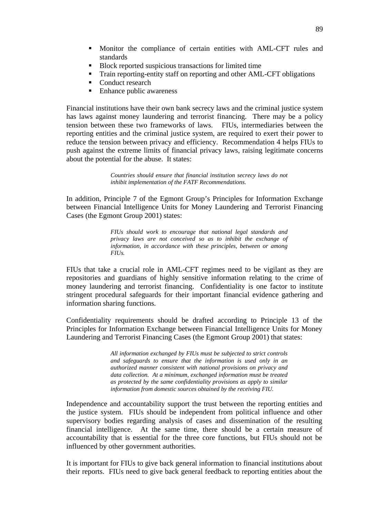- Monitor the compliance of certain entities with AML-CFT rules and standards
- Block reported suspicious transactions for limited time
- Train reporting-entity staff on reporting and other AML-CFT obligations
- Conduct research
- Enhance public awareness

Financial institutions have their own bank secrecy laws and the criminal justice system has laws against money laundering and terrorist financing. There may be a policy tension between these two frameworks of laws. FIUs, intermediaries between the reporting entities and the criminal justice system, are required to exert their power to reduce the tension between privacy and efficiency. Recommendation 4 helps FIUs to push against the extreme limits of financial privacy laws, raising legitimate concerns about the potential for the abuse. It states:

> *Countries should ensure that financial institution secrecy laws do not inhibit implementation of the FATF Recommendations.*

In addition, Principle 7 of the Egmont Group's Principles for Information Exchange between Financial Intelligence Units for Money Laundering and Terrorist Financing Cases (the Egmont Group 2001) states:

> *FIUs should work to encourage that national legal standards and privacy laws are not conceived so as to inhibit the exchange of information, in accordance with these principles, between or among FIUs.*

FIUs that take a crucial role in AML-CFT regimes need to be vigilant as they are repositories and guardians of highly sensitive information relating to the crime of money laundering and terrorist financing. Confidentiality is one factor to institute stringent procedural safeguards for their important financial evidence gathering and information sharing functions.

Confidentiality requirements should be drafted according to Principle 13 of the Principles for Information Exchange between Financial Intelligence Units for Money Laundering and Terrorist Financing Cases (the Egmont Group 2001) that states:

> *All information exchanged by FIUs must be subjected to strict controls and safeguards to ensure that the information is used only in an authorized manner consistent with national provisions on privacy and data collection. At a minimum, exchanged information must be treated as protected by the same confidentiality provisions as apply to similar information from domestic sources obtained by the receiving FIU.*

Independence and accountability support the trust between the reporting entities and the justice system. FIUs should be independent from political influence and other supervisory bodies regarding analysis of cases and dissemination of the resulting financial intelligence. At the same time, there should be a certain measure of accountability that is essential for the three core functions, but FIUs should not be influenced by other government authorities.

It is important for FIUs to give back general information to financial institutions about their reports. FIUs need to give back general feedback to reporting entities about the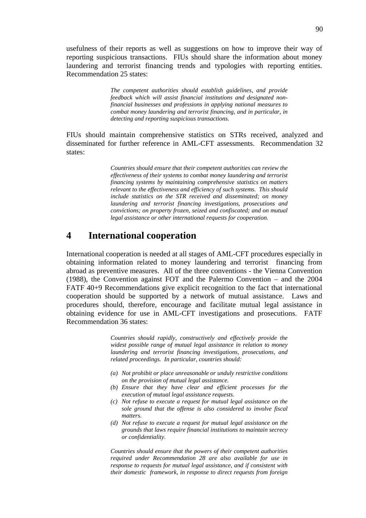usefulness of their reports as well as suggestions on how to improve their way of reporting suspicious transactions. FIUs should share the information about money laundering and terrorist financing trends and typologies with reporting entities. Recommendation 25 states:

> *The competent authorities should establish guidelines, and provide feedback which will assist financial institutions and designated nonfinancial businesses and professions in applying national measures to combat money laundering and terrorist financing, and in particular, in detecting and reporting suspicious transactions.*

FIUs should maintain comprehensive statistics on STRs received, analyzed and disseminated for further reference in AML-CFT assessments. Recommendation 32 states:

> *Countries should ensure that their competent authorities can review the effectiveness of their systems to combat money laundering and terrorist financing systems by maintaining comprehensive statistics on matters relevant to the effectiveness and efficiency of such systems. This should include statistics on the STR received and disseminated; on money laundering and terrorist financing investigations, prosecutions and convictions; on property frozen, seized and confiscated; and on mutual legal assistance or other international requests for cooperation.*

# **4 International cooperation**

International cooperation is needed at all stages of AML-CFT procedures especially in obtaining information related to money laundering and terrorist financing from abroad as preventive measures. All of the three conventions - the Vienna Convention (1988), the Convention against FOT and the Palermo Convention – and the 2004 FATF 40+9 Recommendations give explicit recognition to the fact that international cooperation should be supported by a network of mutual assistance. Laws and procedures should, therefore, encourage and facilitate mutual legal assistance in obtaining evidence for use in AML-CFT investigations and prosecutions. FATF Recommendation 36 states:

> *Countries should rapidly, constructively and effectively provide the widest possible range of mutual legal assistance in relation to money laundering and terrorist financing investigations, prosecutions, and related proceedings. In particular, countries should:*

- *(a) Not prohibit or place unreasonable or unduly restrictive conditions on the provision of mutual legal assistance.*
- *(b) Ensure that they have clear and efficient processes for the execution of mutual legal assistance requests.*
- *(c) Not refuse to execute a request for mutual legal assistance on the sole ground that the offense is also considered to involve fiscal matters.*
- *(d) Not refuse to execute a request for mutual legal assistance on the grounds that laws require financial institutions to maintain secrecy or confidentiality.*

*Countries should ensure that the powers of their competent authorities required under Recommendation 28 are also available for use in response to requests for mutual legal assistance, and if consistent with their domestic framework, in response to direct requests from foreign*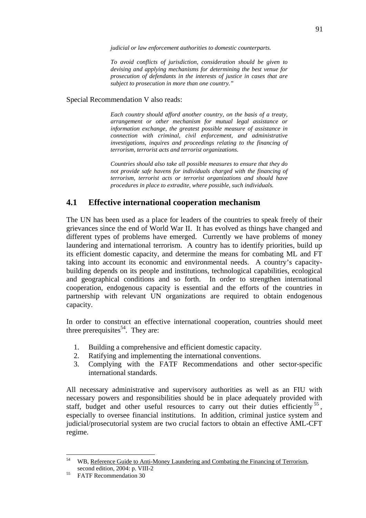*judicial or law enforcement authorities to domestic counterparts.* 

*To avoid conflicts of jurisdiction, consideration should be given to devising and applying mechanisms for determining the best venue for prosecution of defendants in the interests of justice in cases that are subject to prosecution in more than one country."* 

Special Recommendation V also reads:

*Each country should afford another country, on the basis of a treaty, arrangement or other mechanism for mutual legal assistance or information exchange, the greatest possible measure of assistance in connection with criminal, civil enforcement, and administrative investigations, inquires and proceedings relating to the financing of terrorism, terrorist acts and terrorist organizations.* 

*Countries should also take all possible measures to ensure that they do not provide safe havens for individuals charged with the financing of terrorism, terrorist acts or terrorist organizations and should have procedures in place to extradite, where possible, such individuals.* 

### **4.1 Effective international cooperation mechanism**

The UN has been used as a place for leaders of the countries to speak freely of their grievances since the end of World War II. It has evolved as things have changed and different types of problems have emerged. Currently we have problems of money laundering and international terrorism. A country has to identify priorities, build up its efficient domestic capacity, and determine the means for combating ML and FT taking into account its economic and environmental needs. A country's capacitybuilding depends on its people and institutions, technological capabilities, ecological and geographical conditions and so forth. In order to strengthen international cooperation, endogenous capacity is essential and the efforts of the countries in partnership with relevant UN organizations are required to obtain endogenous capacity.

In order to construct an effective international cooperation, countries should meet three prerequisites $54$ . They are:

- 1. Building a comprehensive and efficient domestic capacity.
- 2. Ratifying and implementing the international conventions.
- 3. Complying with the FATF Recommendations and other sector-specific international standards.

All necessary administrative and supervisory authorities as well as an FIU with necessary powers and responsibilities should be in place adequately provided with staff, budget and other useful resources to carry out their duties efficiently  $55$ , especially to oversee financial institutions. In addition, criminal justice system and judicial/prosecutorial system are two crucial factors to obtain an effective AML-CFT regime.

1

WB, Reference Guide to Anti-Money Laundering and Combating the Financing of Terrorism, second edition, 2004: p. VIII-2<br>55 FATF Recommendation 30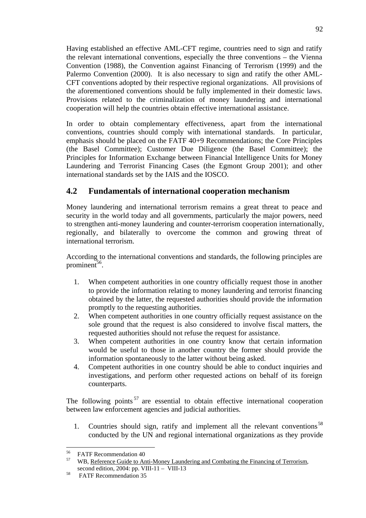Having established an effective AML-CFT regime, countries need to sign and ratify the relevant international conventions, especially the three conventions – the Vienna Convention (1988), the Convention against Financing of Terrorism (1999) and the Palermo Convention (2000). It is also necessary to sign and ratify the other AML-CFT conventions adopted by their respective regional organizations. All provisions of the aforementioned conventions should be fully implemented in their domestic laws. Provisions related to the criminalization of money laundering and international cooperation will help the countries obtain effective international assistance.

In order to obtain complementary effectiveness, apart from the international conventions, countries should comply with international standards. In particular, emphasis should be placed on the FATF 40+9 Recommendations; the Core Principles (the Basel Committee); Customer Due Diligence (the Basel Committee); the Principles for Information Exchange between Financial Intelligence Units for Money Laundering and Terrorist Financing Cases (the Egmont Group 2001); and other international standards set by the IAIS and the IOSCO.

# **4.2 Fundamentals of international cooperation mechanism**

Money laundering and international terrorism remains a great threat to peace and security in the world today and all governments, particularly the major powers, need to strengthen anti-money laundering and counter-terrorism cooperation internationally, regionally, and bilaterally to overcome the common and growing threat of international terrorism.

According to the international conventions and standards, the following principles are prominent<sup>56</sup>.

- 1. When competent authorities in one country officially request those in another to provide the information relating to money laundering and terrorist financing obtained by the latter, the requested authorities should provide the information promptly to the requesting authorities.
- 2. When competent authorities in one country officially request assistance on the sole ground that the request is also considered to involve fiscal matters, the requested authorities should not refuse the request for assistance.
- 3. When competent authorities in one country know that certain information would be useful to those in another country the former should provide the information spontaneously to the latter without being asked.
- 4. Competent authorities in one country should be able to conduct inquiries and investigations, and perform other requested actions on behalf of its foreign counterparts.

The following points  $57$  are essential to obtain effective international cooperation between law enforcement agencies and judicial authorities.

1. Countries should sign, ratify and implement all the relevant conventions<sup>58</sup> conducted by the UN and regional international organizations as they provide

1

<sup>&</sup>lt;sup>56</sup> FATF Recommendation 40<br><sup>57</sup> WB, Reference Guide to Anti-Money Laundering and Combating the Financing of Terrorism, second edition, 2004: pp. VIII-11 – VIII-13<br>FATF Recommendation 35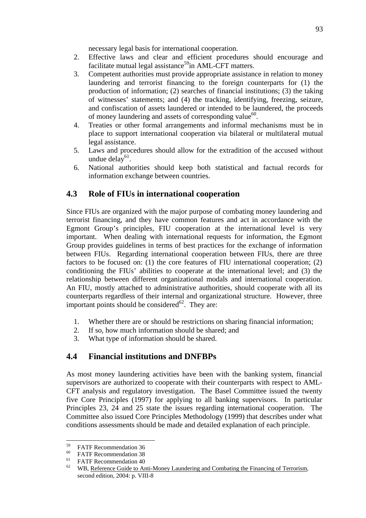necessary legal basis for international cooperation.

- 2. Effective laws and clear and efficient procedures should encourage and facilitate mutual legal assistance<sup>59</sup>in AML-CFT matters.
- 3. Competent authorities must provide appropriate assistance in relation to money laundering and terrorist financing to the foreign counterparts for (1) the production of information; (2) searches of financial institutions; (3) the taking of witnesses' statements; and (4) the tracking, identifying, freezing, seizure, and confiscation of assets laundered or intended to be laundered, the proceeds of money laundering and assets of corresponding value<sup>60</sup>.
- 4. Treaties or other formal arrangements and informal mechanisms must be in place to support international cooperation via bilateral or multilateral mutual legal assistance.
- 5. Laws and procedures should allow for the extradition of the accused without undue delay<sup>61</sup>.
- 6. National authorities should keep both statistical and factual records for information exchange between countries.

# **4.3 Role of FIUs in international cooperation**

Since FIUs are organized with the major purpose of combating money laundering and terrorist financing, and they have common features and act in accordance with the Egmont Group's principles, FIU cooperation at the international level is very important. When dealing with international requests for information, the Egmont Group provides guidelines in terms of best practices for the exchange of information between FIUs. Regarding international cooperation between FIUs, there are three factors to be focused on: (1) the core features of FIU international cooperation; (2) conditioning the FIUs' abilities to cooperate at the international level; and (3) the relationship between different organizational modals and international cooperation. An FIU, mostly attached to administrative authorities, should cooperate with all its counterparts regardless of their internal and organizational structure. However, three important points should be considered $^{62}$ . They are:

- 1. Whether there are or should be restrictions on sharing financial information;
- 2. If so, how much information should be shared; and
- 3. What type of information should be shared.

## **4.4 Financial institutions and DNFBPs**

As most money laundering activities have been with the banking system, financial supervisors are authorized to cooperate with their counterparts with respect to AML-CFT analysis and regulatory investigation. The Basel Committee issued the twenty five Core Principles (1997) for applying to all banking supervisors. In particular Principles 23, 24 and 25 state the issues regarding international cooperation. The Committee also issued Core Principles Methodology (1999) that describes under what conditions assessments should be made and detailed explanation of each principle.

<u>.</u>

 $59$  FATF Recommendation 36

 $^{60}$  FATF Recommendation 38

<sup>&</sup>lt;sup>61</sup> FATF Recommendation 40

WB, Reference Guide to Anti-Money Laundering and Combating the Financing of Terrorism, second edition, 2004: p. VIII-8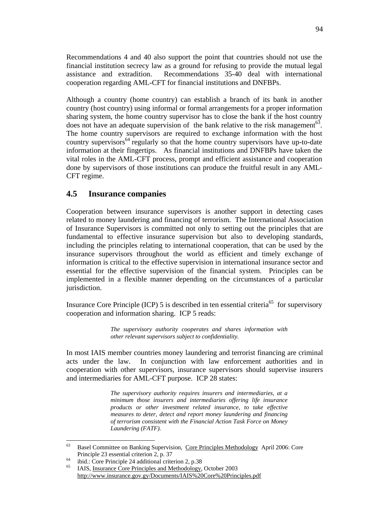Recommendations 4 and 40 also support the point that countries should not use the financial institution secrecy law as a ground for refusing to provide the mutual legal assistance and extradition. Recommendations 35-40 deal with international cooperation regarding AML-CFT for financial institutions and DNFBPs.

Although a country (home country) can establish a branch of its bank in another country (host country) using informal or formal arrangements for a proper information sharing system, the home country supervisor has to close the bank if the host country does not have an adequate supervision of the bank relative to the risk management<sup>63</sup>. The home country supervisors are required to exchange information with the host country supervisors  $64$  regularly so that the home country supervisors have up-to-date information at their fingertips. As financial institutions and DNFBPs have taken the vital roles in the AML-CFT process, prompt and efficient assistance and cooperation done by supervisors of those institutions can produce the fruitful result in any AML-CFT regime.

### **4.5 Insurance companies**

Cooperation between insurance supervisors is another support in detecting cases related to money laundering and financing of terrorism. The International Association of Insurance Supervisors is committed not only to setting out the principles that are fundamental to effective insurance supervision but also to developing standards, including the principles relating to international cooperation, that can be used by the insurance supervisors throughout the world as efficient and timely exchange of information is critical to the effective supervision in international insurance sector and essential for the effective supervision of the financial system. Principles can be implemented in a flexible manner depending on the circumstances of a particular jurisdiction.

Insurance Core Principle (ICP) 5 is described in ten essential criteria<sup>65</sup> for supervisory cooperation and information sharing. ICP 5 reads:

> *The supervisory authority cooperates and shares information with other relevant supervisors subject to confidentiality.*

In most IAIS member countries money laundering and terrorist financing are criminal acts under the law. In conjunction with law enforcement authorities and in cooperation with other supervisors, insurance supervisors should supervise insurers and intermediaries for AML-CFT purpose. ICP 28 states:

> *The supervisory authority requires insurers and intermediaries, at a minimum those insurers and intermediaries offering life insurance products or other investment related insurance, to take effective measures to deter, detect and report money laundering and financing of terrorism consistent with the Financial Action Task Force on Money Laundering (FATF).*

<u>.</u>

<sup>63</sup> Basel Committee on Banking Supervision, Core Principles Methodology April 2006: Core

Principle 23 essential criterion 2, p. 37<br>
ibid.: Core Principle 24 additional criterion 2, p.38<br>
<sup>65</sup><br>
M.J.S. Letter Chan Divisible and M.J. behavior

IAIS, Insurance Core Principles and Methodology, October 2003 http://www.insurance.gov.gy/Documents/IAIS%20Core%20Principles.pdf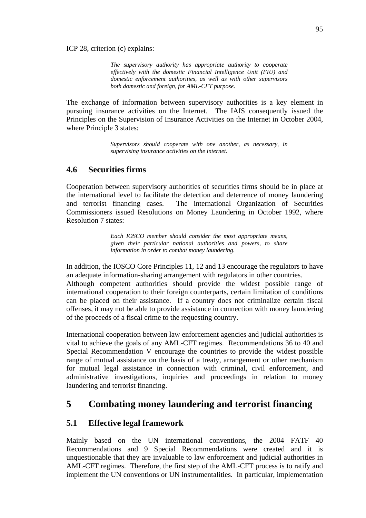ICP 28, criterion (c) explains:

*The supervisory authority has appropriate authority to cooperate effectively with the domestic Financial Intelligence Unit (FIU) and domestic enforcement authorities, as well as with other supervisors both domestic and foreign, for AML-CFT purpose.* 

The exchange of information between supervisory authorities is a key element in pursuing insurance activities on the Internet. The IAIS consequently issued the Principles on the Supervision of Insurance Activities on the Internet in October 2004, where Principle 3 states:

> *Supervisors should cooperate with one another, as necessary, in supervising insurance activities on the internet.*

### **4.6 Securities firms**

Cooperation between supervisory authorities of securities firms should be in place at the international level to facilitate the detection and deterrence of money laundering and terrorist financing cases. The international Organization of Securities Commissioners issued Resolutions on Money Laundering in October 1992, where Resolution 7 states:

> *Each IOSCO member should consider the most appropriate means, given their particular national authorities and powers, to share information in order to combat money laundering.*

In addition, the IOSCO Core Principles 11, 12 and 13 encourage the regulators to have an adequate information-sharing arrangement with regulators in other countries. Although competent authorities should provide the widest possible range of international cooperation to their foreign counterparts, certain limitation of conditions can be placed on their assistance. If a country does not criminalize certain fiscal offenses, it may not be able to provide assistance in connection with money laundering of the proceeds of a fiscal crime to the requesting country.

International cooperation between law enforcement agencies and judicial authorities is vital to achieve the goals of any AML-CFT regimes. Recommendations 36 to 40 and Special Recommendation V encourage the countries to provide the widest possible range of mutual assistance on the basis of a treaty, arrangement or other mechanism for mutual legal assistance in connection with criminal, civil enforcement, and administrative investigations, inquiries and proceedings in relation to money laundering and terrorist financing.

# **5 Combating money laundering and terrorist financing**

### **5.1 Effective legal framework**

Mainly based on the UN international conventions, the 2004 FATF 40 Recommendations and 9 Special Recommendations were created and it is unquestionable that they are invaluable to law enforcement and judicial authorities in AML-CFT regimes. Therefore, the first step of the AML-CFT process is to ratify and implement the UN conventions or UN instrumentalities. In particular, implementation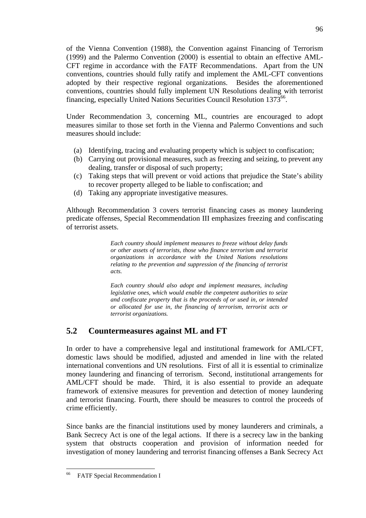of the Vienna Convention (1988), the Convention against Financing of Terrorism (1999) and the Palermo Convention (2000) is essential to obtain an effective AML-CFT regime in accordance with the FATF Recommendations. Apart from the UN conventions, countries should fully ratify and implement the AML-CFT conventions adopted by their respective regional organizations. Besides the aforementioned conventions, countries should fully implement UN Resolutions dealing with terrorist financing, especially United Nations Securities Council Resolution 1373<sup>66</sup>.

Under Recommendation 3, concerning ML, countries are encouraged to adopt measures similar to those set forth in the Vienna and Palermo Conventions and such measures should include:

- (a) Identifying, tracing and evaluating property which is subject to confiscation;
- (b) Carrying out provisional measures, such as freezing and seizing, to prevent any dealing, transfer or disposal of such property;
- (c) Taking steps that will prevent or void actions that prejudice the State's ability to recover property alleged to be liable to confiscation; and
- (d) Taking any appropriate investigative measures.

Although Recommendation 3 covers terrorist financing cases as money laundering predicate offenses, Special Recommendation III emphasizes freezing and confiscating of terrorist assets.

> *Each country should implement measures to freeze without delay funds or other assets of terrorists, those who finance terrorism and terrorist organizations in accordance with the United Nations resolutions relating to the prevention and suppression of the financing of terrorist acts.*

> *Each country should also adopt and implement measures, including legislative ones, which would enable the competent authorities to seize and confiscate property that is the proceeds of or used in, or intended or allocated for use in, the financing of terrorism, terrorist acts or terrorist organizations.*

# **5.2 Countermeasures against ML and FT**

In order to have a comprehensive legal and institutional framework for AML/CFT, domestic laws should be modified, adjusted and amended in line with the related international conventions and UN resolutions. First of all it is essential to criminalize money laundering and financing of terrorism. Second, institutional arrangements for AML/CFT should be made. Third, it is also essential to provide an adequate framework of extensive measures for prevention and detection of money laundering and terrorist financing. Fourth, there should be measures to control the proceeds of crime efficiently.

Since banks are the financial institutions used by money launderers and criminals, a Bank Secrecy Act is one of the legal actions. If there is a secrecy law in the banking system that obstructs cooperation and provision of information needed for investigation of money laundering and terrorist financing offenses a Bank Secrecy Act

<sup>66</sup> FATF Special Recommendation I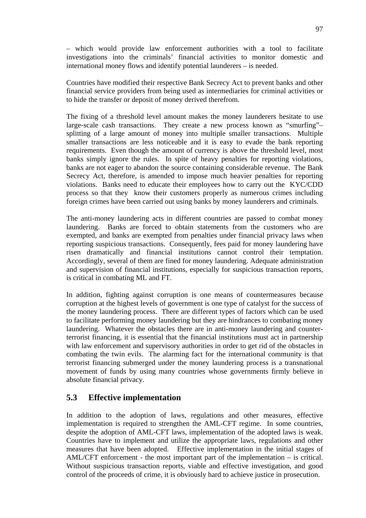– which would provide law enforcement authorities with a tool to facilitate investigations into the criminals' financial activities to monitor domestic and international money flows and identify potential launderers – is needed.

Countries have modified their respective Bank Secrecy Act to prevent banks and other financial service providers from being used as intermediaries for criminal activities or to hide the transfer or deposit of money derived therefrom.

The fixing of a threshold level amount makes the money launderers hesitate to use large-scale cash transactions. They create a new process known as "smurfing"– splitting of a large amount of money into multiple smaller transactions. Multiple smaller transactions are less noticeable and it is easy to evade the bank reporting requirements. Even though the amount of currency is above the threshold level, most banks simply ignore the rules. In spite of heavy penalties for reporting violations, banks are not eager to abandon the source containing considerable revenue. The Bank Secrecy Act, therefore, is amended to impose much heavier penalties for reporting violations. Banks need to educate their employees how to carry out the KYC/CDD process so that they know their customers properly as numerous crimes including foreign crimes have been carried out using banks by money launderers and criminals.

The anti-money laundering acts in different countries are passed to combat money laundering. Banks are forced to obtain statements from the customers who are exempted, and banks are exempted from penalties under financial privacy laws when reporting suspicious transactions. Consequently, fees paid for money laundering have risen dramatically and financial institutions cannot control their temptation. Accordingly, several of them are fined for money laundering. Adequate administration and supervision of financial institutions, especially for suspicious transaction reports, is critical in combating ML and FT.

In addition, fighting against corruption is one means of countermeasures because corruption at the highest levels of government is one type of catalyst for the success of the money laundering process. There are different types of factors which can be used to facilitate performing money laundering but they are hindrances to combating money laundering. Whatever the obstacles there are in anti-money laundering and counterterrorist financing, it is essential that the financial institutions must act in partnership with law enforcement and supervisory authorities in order to get rid of the obstacles in combating the twin evils. The alarming fact for the international community is that terrorist financing submerged under the money laundering process is a transnational movement of funds by using many countries whose governments firmly believe in absolute financial privacy.

## **5.3 Effective implementation**

In addition to the adoption of laws, regulations and other measures, effective implementation is required to strengthen the AML-CFT regime. In some countries, despite the adoption of AML-CFT laws, implementation of the adopted laws is weak. Countries have to implement and utilize the appropriate laws, regulations and other measures that have been adopted. Effective implementation in the initial stages of AML/CFT enforcement - the most important part of the implementation – is critical. Without suspicious transaction reports, viable and effective investigation, and good control of the proceeds of crime, it is obviously hard to achieve justice in prosecution.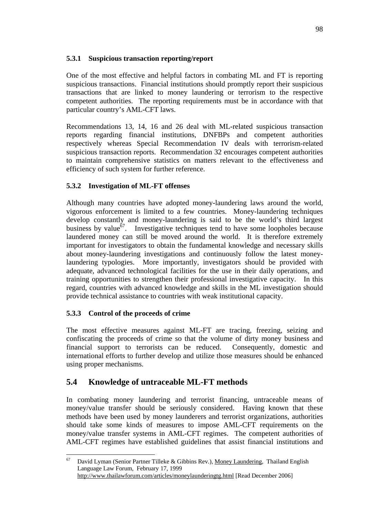### **5.3.1 Suspicious transaction reporting/report**

One of the most effective and helpful factors in combating ML and FT is reporting suspicious transactions. Financial institutions should promptly report their suspicious transactions that are linked to money laundering or terrorism to the respective competent authorities. The reporting requirements must be in accordance with that particular country's AML-CFT laws.

Recommendations 13, 14, 16 and 26 deal with ML-related suspicious transaction reports regarding financial institutions, DNFBPs and competent authorities respectively whereas Special Recommendation IV deals with terrorism-related suspicious transaction reports. Recommendation 32 encourages competent authorities to maintain comprehensive statistics on matters relevant to the effectiveness and efficiency of such system for further reference.

# **5.3.2 Investigation of ML-FT offenses**

Although many countries have adopted money-laundering laws around the world, vigorous enforcement is limited to a few countries. Money-laundering techniques develop constantly and money-laundering is said to be the world's third largest business by value<sup>67</sup>. Investigative techniques tend to have some loopholes because laundered money can still be moved around the world. It is therefore extremely important for investigators to obtain the fundamental knowledge and necessary skills about money-laundering investigations and continuously follow the latest moneylaundering typologies. More importantly, investigators should be provided with adequate, advanced technological facilities for the use in their daily operations, and training opportunities to strengthen their professional investigative capacity. In this regard, countries with advanced knowledge and skills in the ML investigation should provide technical assistance to countries with weak institutional capacity.

## **5.3.3 Control of the proceeds of crime**

The most effective measures against ML-FT are tracing, freezing, seizing and confiscating the proceeds of crime so that the volume of dirty money business and financial support to terrorists can be reduced. Consequently, domestic and international efforts to further develop and utilize those measures should be enhanced using proper mechanisms.

# **5.4 Knowledge of untraceable ML-FT methods**

In combating money laundering and terrorist financing, untraceable means of money/value transfer should be seriously considered. Having known that these methods have been used by money launderers and terrorist organizations, authorities should take some kinds of measures to impose AML-CFT requirements on the money/value transfer systems in AML-CFT regimes. The competent authorities of AML-CFT regimes have established guidelines that assist financial institutions and

<sup>67</sup> David Lyman (Senior Partner Tilleke & Gibbins Rev.), Money Laundering, Thailand English Language Law Forum, February 17, 1999 http://www.thailawforum.com/articles/moneylaunderingtg.html [Read December 2006]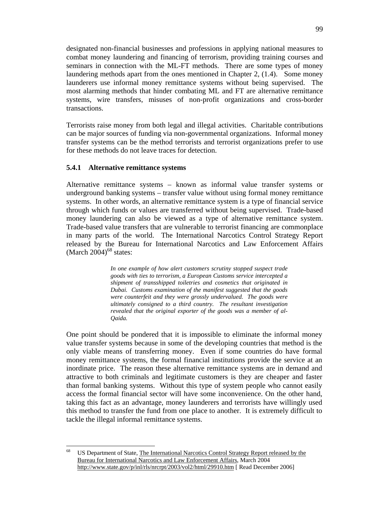designated non-financial businesses and professions in applying national measures to combat money laundering and financing of terrorism, providing training courses and seminars in connection with the ML-FT methods. There are some types of money laundering methods apart from the ones mentioned in Chapter 2, (1.4). Some money launderers use informal money remittance systems without being supervised. The most alarming methods that hinder combating ML and FT are alternative remittance systems, wire transfers, misuses of non-profit organizations and cross-border transactions.

Terrorists raise money from both legal and illegal activities. Charitable contributions can be major sources of funding via non-governmental organizations. Informal money transfer systems can be the method terrorists and terrorist organizations prefer to use for these methods do not leave traces for detection.

#### **5.4.1 Alternative remittance systems**

Alternative remittance systems – known as informal value transfer systems or underground banking systems – transfer value without using formal money remittance systems. In other words, an alternative remittance system is a type of financial service through which funds or values are transferred without being supervised. Trade-based money laundering can also be viewed as a type of alternative remittance system. Trade-based value transfers that are vulnerable to terrorist financing are commonplace in many parts of the world. The International Narcotics Control Strategy Report released by the Bureau for International Narcotics and Law Enforcement Affairs (March  $2004$ )<sup>68</sup> states:

> *In one example of how alert customers scrutiny stopped suspect trade goods with ties to terrorism, a European Customs service intercepted a shipment of transshipped toiletries and cosmetics that originated in Dubai. Customs examination of the manifest suggested that the goods were counterfeit and they were grossly undervalued. The goods were ultimately consigned to a third country. The resultant investigation revealed that the original exporter of the goods was a member of al-Qaida.*

One point should be pondered that it is impossible to eliminate the informal money value transfer systems because in some of the developing countries that method is the only viable means of transferring money. Even if some countries do have formal money remittance systems, the formal financial institutions provide the service at an inordinate price. The reason these alternative remittance systems are in demand and attractive to both criminals and legitimate customers is they are cheaper and faster than formal banking systems. Without this type of system people who cannot easily access the formal financial sector will have some inconvenience. On the other hand, taking this fact as an advantage, money launderers and terrorists have willingly used this method to transfer the fund from one place to another. It is extremely difficult to tackle the illegal informal remittance systems.

<sup>68</sup> US Department of State, The International Narcotics Control Strategy Report released by the Bureau for International Narcotics and Law Enforcement Affairs, March 2004 http://www.state.gov/p/inl/rls/nrcrpt/2003/vol2/html/29910.htm [ Read December 2006]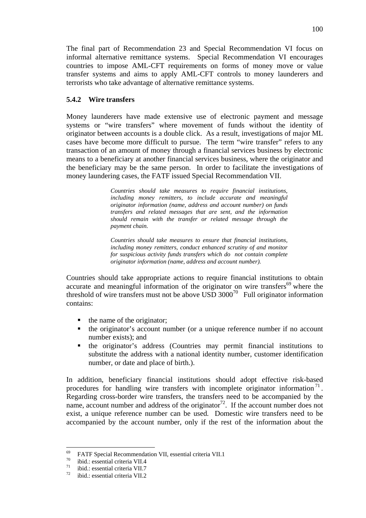The final part of Recommendation 23 and Special Recommendation VI focus on informal alternative remittance systems. Special Recommendation VI encourages countries to impose AML-CFT requirements on forms of money move or value transfer systems and aims to apply AML-CFT controls to money launderers and terrorists who take advantage of alternative remittance systems.

#### **5.4.2 Wire transfers**

Money launderers have made extensive use of electronic payment and message systems or "wire transfers" where movement of funds without the identity of originator between accounts is a double click. As a result, investigations of major ML cases have become more difficult to pursue. The term "wire transfer" refers to any transaction of an amount of money through a financial services business by electronic means to a beneficiary at another financial services business, where the originator and the beneficiary may be the same person. In order to facilitate the investigations of money laundering cases, the FATF issued Special Recommendation VII.

> *Countries should take measures to require financial institutions, including money remitters, to include accurate and meaningful originator information (name, address and account number) on funds transfers and related messages that are sent, and the information should remain with the transfer or related message through the payment chain.*

> *Countries should take measures to ensure that financial institutions, including money remitters, conduct enhanced scrutiny of and monitor for suspicious activity funds transfers which do not contain complete originator information (name, address and account number).*

Countries should take appropriate actions to require financial institutions to obtain accurate and meaningful information of the originator on wire transfers<sup>69</sup> where the threshold of wire transfers must not be above  $\overline{USD}$  3000<sup>70</sup> Full originator information contains:

- the name of the originator;
- the originator's account number (or a unique reference number if no account number exists); and
- the originator's address (Countries may permit financial institutions to substitute the address with a national identity number, customer identification number, or date and place of birth.).

In addition, beneficiary financial institutions should adopt effective risk-based procedures for handling wire transfers with incomplete originator information  $^{71}$ . Regarding cross-border wire transfers, the transfers need to be accompanied by the name, account number and address of the originator<sup>72</sup>. If the account number does not exist, a unique reference number can be used. Domestic wire transfers need to be accompanied by the account number, only if the rest of the information about the

1

<sup>&</sup>lt;sup>69</sup> FATF Special Recommendation VII, essential criteria VII.1<br>
<sup>70</sup> ibid.: essential criteria VII.4<br>
<sup>71</sup> ibid.: essential griteria VII.7

 $^{71}$  ibid.: essential criteria VII.7<br> $^{72}$  ibid.: essential criteria VII.7

ibid.: essential criteria VII.2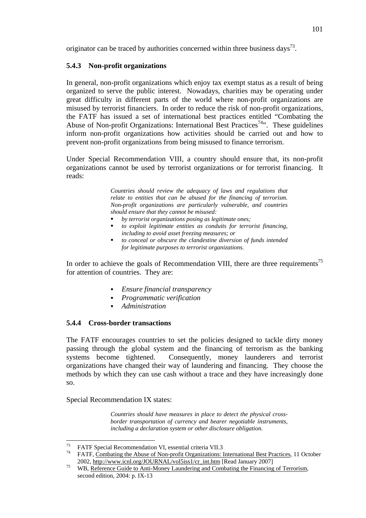originator can be traced by authorities concerned within three business days<sup>73</sup>.

### **5.4.3 Non-profit organizations**

In general, non-profit organizations which enjoy tax exempt status as a result of being organized to serve the public interest. Nowadays, charities may be operating under great difficulty in different parts of the world where non-profit organizations are misused by terrorist financiers. In order to reduce the risk of non-profit organizations, the FATF has issued a set of international best practices entitled "Combating the Abuse of Non-profit Organizations: International Best Practices<sup>74</sup> $\cdot$ . These guidelines inform non-profit organizations how activities should be carried out and how to prevent non-profit organizations from being misused to finance terrorism.

Under Special Recommendation VIII, a country should ensure that, its non-profit organizations cannot be used by terrorist organizations or for terrorist financing. It reads:

> *Countries should review the adequacy of laws and regulations that relate to entities that can be abused for the financing of terrorism. Non-profit organizations are particularly vulnerable, and countries should ensure that they cannot be misused:*

- *by terrorist organizations posing as legitimate ones;*
- *to exploit legitimate entities as conduits for terrorist financing, including to avoid asset freezing measures; or*
- *to conceal or obscure the clandestine diversion of funds intended for legitimate purposes to terrorist organizations.*

In order to achieve the goals of Recommendation VIII, there are three requirements<sup>75</sup> for attention of countries. They are:

- *Ensure financial transparency*
- *Programmatic verification*
- *Administration*

### **5.4.4 Cross-border transactions**

The FATF encourages countries to set the policies designed to tackle dirty money passing through the global system and the financing of terrorism as the banking systems become tightened. Consequently, money launderers and terrorist organizations have changed their way of laundering and financing. They choose the methods by which they can use cash without a trace and they have increasingly done so.

Special Recommendation IX states:

<u>.</u>

*Countries should have measures in place to detect the physical crossborder transportation of currency and bearer negotiable instruments, including a declaration system or other disclosure obligation.* 

<sup>&</sup>lt;sup>73</sup> FATF Special Recommendation VI, essential criteria VII.3<br><sup>74</sup> FATF, Combating the Abuse of Non-profit Organizations: International Best Practices, 11 October 2002, http://www.icnl.org/JOURNAL/vol5iss1/cr\_int.htm [Read January 2007]<br>WB, Reference Guide to Anti-Money Laundering and Combating the Financing of Terrorism,

second edition, 2004: p. IX-13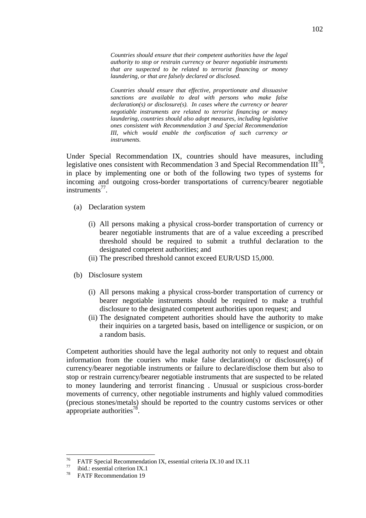*Countries should ensure that their competent authorities have the legal authority to stop or restrain currency or bearer negotiable instruments that are suspected to be related to terrorist financing or money laundering, or that are falsely declared or disclosed.* 

*Countries should ensure that effective, proportionate and dissuasive sanctions are available to deal with persons who make false declaration(s) or disclosure(s). In cases where the currency or bearer negotiable instruments are related to terrorist financing or money laundering, countries should also adopt measures, including legislative ones consistent with Recommendation 3 and Special Recommendation III, which would enable the confiscation of such currency or instruments.* 

Under Special Recommendation IX, countries should have measures, including legislative ones consistent with Recommendation 3 and Special Recommendation  $III^{76}$ , in place by implementing one or both of the following two types of systems for incoming and outgoing cross-border transportations of currency/bearer negotiable instruments<sup>77</sup>

- (a) Declaration system
	- (i) All persons making a physical cross-border transportation of currency or bearer negotiable instruments that are of a value exceeding a prescribed threshold should be required to submit a truthful declaration to the designated competent authorities; and
	- (ii) The prescribed threshold cannot exceed EUR/USD 15,000.
- (b) Disclosure system
	- (i) All persons making a physical cross-border transportation of currency or bearer negotiable instruments should be required to make a truthful disclosure to the designated competent authorities upon request; and
	- (ii) The designated competent authorities should have the authority to make their inquiries on a targeted basis, based on intelligence or suspicion, or on a random basis.

Competent authorities should have the legal authority not only to request and obtain information from the couriers who make false declaration(s) or disclosure(s) of currency/bearer negotiable instruments or failure to declare/disclose them but also to stop or restrain currency/bearer negotiable instruments that are suspected to be related to money laundering and terrorist financing . Unusual or suspicious cross-border movements of currency, other negotiable instruments and highly valued commodities (precious stones/metals) should be reported to the country customs services or other appropriate authorities<sup>78</sup>.

<sup>76</sup> <sup>76</sup> FATF Special Recommendation IX, essential criteria IX.10 and IX.11 ibid.: essential criterion IX.1<br><sup>77</sup> Ibid.: essential criterion IX.1

FATF Recommendation 19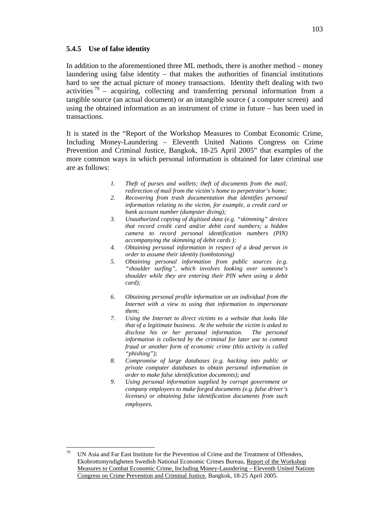#### **5.4.5 Use of false identity**

1

In addition to the aforementioned three ML methods, there is another method – money laundering using false identity – that makes the authorities of financial institutions hard to see the actual picture of money transactions. Identity theft dealing with two activities  $\frac{79}{9}$  – acquiring, collecting and transferring personal information from a tangible source (an actual document) or an intangible source ( a computer screen) and using the obtained information as an instrument of crime in future – has been used in transactions.

It is stated in the "Report of the Workshop Measures to Combat Economic Crime, Including Money-Laundering – Eleventh United Nations Congress on Crime Prevention and Criminal Justice, Bangkok, 18-25 April 2005" that examples of the more common ways in which personal information is obtained for later criminal use are as follows:

- *1. Theft of purses and wallets; theft of documents from the mail; redirection of mail from the victim's home to perpetrator's home;*
- *2. Recovering from trash documentation that identifies personal information relating to the victim, for example, a credit card or bank account number (dumpster diving);*
- *3. Unauthorized copying of digitized data (e.g. "skimming" devices that record credit card and/or debit card numbers; a hidden camera to record personal identification numbers (PIN) accompanying the skimming of debit cards );*
- *4. Obtaining personal information in respect of a dead person in order to assume their identity (tombstoning)*
- *5. Obtaining personal information from public sources (e.g. "shoulder surfing", which involves looking over someone's shoulder while they are entering their PIN when using a debit card);*
- *6. Obtaining personal profile information on an individual from the Internet with a view to using that information to impersonate them;*
- *7. Using the Internet to direct victims to a website that looks like that of a legitimate business. At the website the victim is asked to disclose his or her personal information. The personal information is collected by the criminal for later use to commit fraud or another form of economic crime (this activity is called "phishing");*
- *8. Compromise of large databases (e.g. hacking into public or private computer databases to obtain personal information in order to make false identification documents); and*
- *9. Using personal information supplied by corrupt government or company employees to make forged documents (e.g. false driver's licenses) or obtaining false identification documents from such employees.*

UN Asia and Far East Institute for the Prevention of Crime and the Treatment of Offenders, Ekobrottsmyndigheten Swedish National Economic Crimes Bureau, Report of the Workshop Measures to Combat Economic Crime, Including Money-Laundering – Eleventh United Nations Congress on Crime Prevention and Criminal Justice, Bangkok, 18-25 April 2005.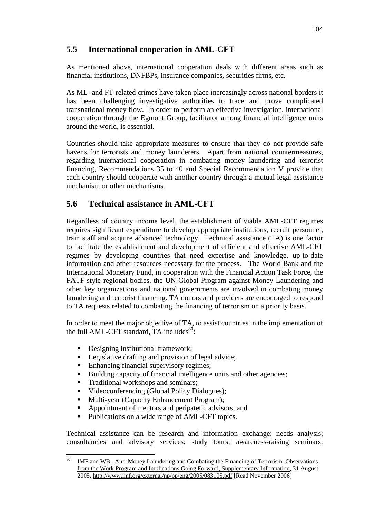# **5.5 International cooperation in AML-CFT**

As mentioned above, international cooperation deals with different areas such as financial institutions, DNFBPs, insurance companies, securities firms, etc.

As ML- and FT-related crimes have taken place increasingly across national borders it has been challenging investigative authorities to trace and prove complicated transnational money flow. In order to perform an effective investigation, international cooperation through the Egmont Group, facilitator among financial intelligence units around the world, is essential.

Countries should take appropriate measures to ensure that they do not provide safe havens for terrorists and money launderers. Apart from national countermeasures, regarding international cooperation in combating money laundering and terrorist financing, Recommendations 35 to 40 and Special Recommendation V provide that each country should cooperate with another country through a mutual legal assistance mechanism or other mechanisms.

# **5.6 Technical assistance in AML-CFT**

Regardless of country income level, the establishment of viable AML-CFT regimes requires significant expenditure to develop appropriate institutions, recruit personnel, train staff and acquire advanced technology. Technical assistance (TA) is one factor to facilitate the establishment and development of efficient and effective AML-CFT regimes by developing countries that need expertise and knowledge, up-to-date information and other resources necessary for the process. The World Bank and the International Monetary Fund, in cooperation with the Financial Action Task Force, the FATF-style regional bodies, the UN Global Program against Money Laundering and other key organizations and national governments are involved in combating money laundering and terrorist financing. TA donors and providers are encouraged to respond to TA requests related to combating the financing of terrorism on a priority basis.

In order to meet the major objective of TA, to assist countries in the implementation of the full AML-CFT standard. TA includes $80$ :

- Designing institutional framework;
- **Legislative drafting and provision of legal advice;**
- Enhancing financial supervisory regimes;
- Building capacity of financial intelligence units and other agencies;
- **Traditional workshops and seminars;**

1

- Videoconferencing (Global Policy Dialogues);
- Multi-year (Capacity Enhancement Program);
- Appointment of mentors and peripatetic advisors; and
- Publications on a wide range of AML-CFT topics.

Technical assistance can be research and information exchange; needs analysis; consultancies and advisory services; study tours; awareness-raising seminars;

IMF and WB, Anti-Money Laundering and Combating the Financing of Terrorism: Observations from the Work Program and Implications Going Forward, Supplementary Information, 31 August 2005, http://www.imf.org/external/np/pp/eng/2005/083105.pdf [Read November 2006]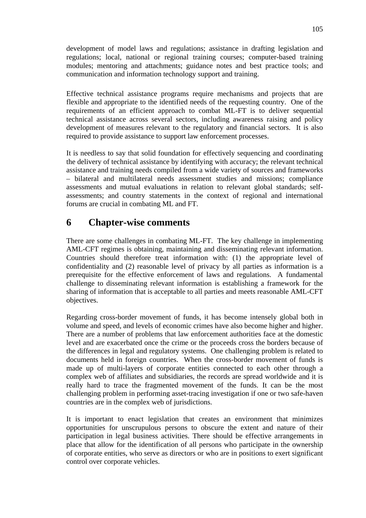development of model laws and regulations; assistance in drafting legislation and regulations; local, national or regional training courses; computer-based training modules; mentoring and attachments; guidance notes and best practice tools; and communication and information technology support and training.

Effective technical assistance programs require mechanisms and projects that are flexible and appropriate to the identified needs of the requesting country. One of the requirements of an efficient approach to combat ML-FT is to deliver sequential technical assistance across several sectors, including awareness raising and policy development of measures relevant to the regulatory and financial sectors. It is also required to provide assistance to support law enforcement processes.

It is needless to say that solid foundation for effectively sequencing and coordinating the delivery of technical assistance by identifying with accuracy; the relevant technical assistance and training needs compiled from a wide variety of sources and frameworks – bilateral and multilateral needs assessment studies and missions; compliance assessments and mutual evaluations in relation to relevant global standards; selfassessments; and country statements in the context of regional and international forums are crucial in combating ML and FT.

# **6 Chapter-wise comments**

There are some challenges in combating ML-FT. The key challenge in implementing AML-CFT regimes is obtaining, maintaining and disseminating relevant information. Countries should therefore treat information with: (1) the appropriate level of confidentiality and (2) reasonable level of privacy by all parties as information is a prerequisite for the effective enforcement of laws and regulations. A fundamental challenge to disseminating relevant information is establishing a framework for the sharing of information that is acceptable to all parties and meets reasonable AML-CFT objectives.

Regarding cross-border movement of funds, it has become intensely global both in volume and speed, and levels of economic crimes have also become higher and higher. There are a number of problems that law enforcement authorities face at the domestic level and are exacerbated once the crime or the proceeds cross the borders because of the differences in legal and regulatory systems. One challenging problem is related to documents held in foreign countries. When the cross-border movement of funds is made up of multi-layers of corporate entities connected to each other through a complex web of affiliates and subsidiaries, the records are spread worldwide and it is really hard to trace the fragmented movement of the funds. It can be the most challenging problem in performing asset-tracing investigation if one or two safe-haven countries are in the complex web of jurisdictions.

It is important to enact legislation that creates an environment that minimizes opportunities for unscrupulous persons to obscure the extent and nature of their participation in legal business activities. There should be effective arrangements in place that allow for the identification of all persons who participate in the ownership of corporate entities, who serve as directors or who are in positions to exert significant control over corporate vehicles.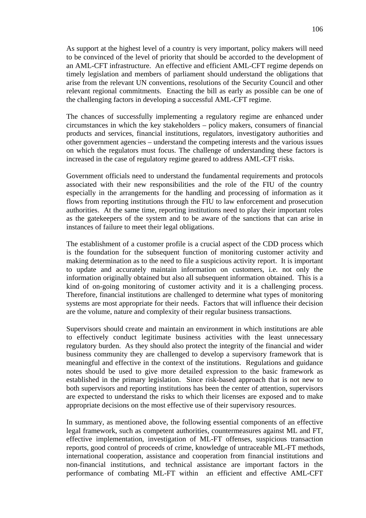As support at the highest level of a country is very important, policy makers will need to be convinced of the level of priority that should be accorded to the development of an AML-CFT infrastructure. An effective and efficient AML-CFT regime depends on timely legislation and members of parliament should understand the obligations that arise from the relevant UN conventions, resolutions of the Security Council and other relevant regional commitments. Enacting the bill as early as possible can be one of the challenging factors in developing a successful AML-CFT regime.

The chances of successfully implementing a regulatory regime are enhanced under circumstances in which the key stakeholders – policy makers, consumers of financial products and services, financial institutions, regulators, investigatory authorities and other government agencies – understand the competing interests and the various issues on which the regulators must focus. The challenge of understanding these factors is increased in the case of regulatory regime geared to address AML-CFT risks.

Government officials need to understand the fundamental requirements and protocols associated with their new responsibilities and the role of the FIU of the country especially in the arrangements for the handling and processing of information as it flows from reporting institutions through the FIU to law enforcement and prosecution authorities. At the same time, reporting institutions need to play their important roles as the gatekeepers of the system and to be aware of the sanctions that can arise in instances of failure to meet their legal obligations.

The establishment of a customer profile is a crucial aspect of the CDD process which is the foundation for the subsequent function of monitoring customer activity and making determination as to the need to file a suspicious activity report. It is important to update and accurately maintain information on customers, i.e. not only the information originally obtained but also all subsequent information obtained. This is a kind of on-going monitoring of customer activity and it is a challenging process. Therefore, financial institutions are challenged to determine what types of monitoring systems are most appropriate for their needs. Factors that will influence their decision are the volume, nature and complexity of their regular business transactions.

Supervisors should create and maintain an environment in which institutions are able to effectively conduct legitimate business activities with the least unnecessary regulatory burden. As they should also protect the integrity of the financial and wider business community they are challenged to develop a supervisory framework that is meaningful and effective in the context of the institutions. Regulations and guidance notes should be used to give more detailed expression to the basic framework as established in the primary legislation. Since risk-based approach that is not new to both supervisors and reporting institutions has been the center of attention, supervisors are expected to understand the risks to which their licenses are exposed and to make appropriate decisions on the most effective use of their supervisory resources.

In summary, as mentioned above, the following essential components of an effective legal framework, such as competent authorities, countermeasures against ML and FT, effective implementation, investigation of ML-FT offenses, suspicious transaction reports, good control of proceeds of crime, knowledge of untraceable ML-FT methods, international cooperation, assistance and cooperation from financial institutions and non-financial institutions, and technical assistance are important factors in the performance of combating ML-FT within an efficient and effective AML-CFT